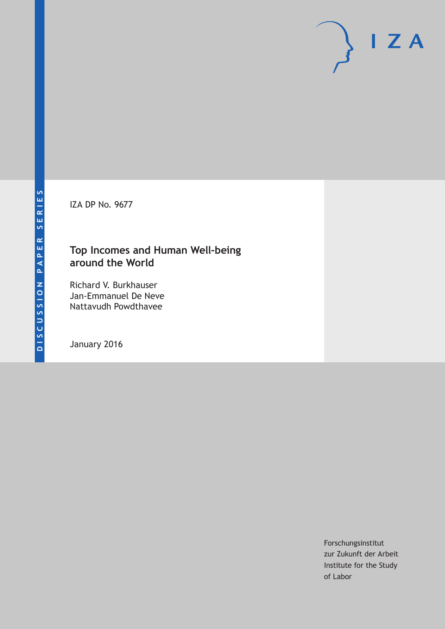IZA DP No. 9677

## **Top Incomes and Human Well-being around the World**

Richard V. Burkhauser Jan-Emmanuel De Neve Nattavudh Powdthavee

January 2016

Forschungsinstitut zur Zukunft der Arbeit Institute for the Study of Labor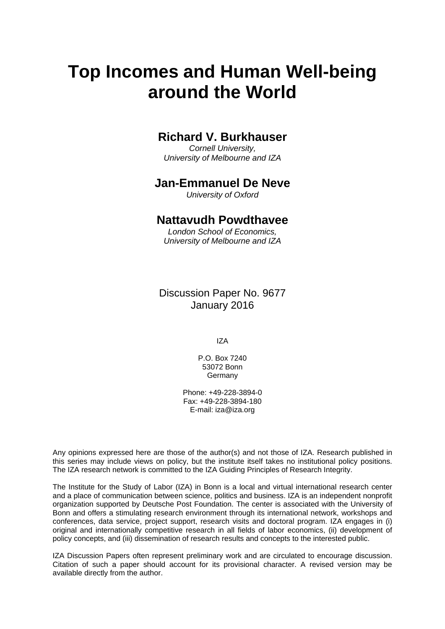# **Top Incomes and Human Well-being around the World**

## **Richard V. Burkhauser**

*Cornell University, University of Melbourne and IZA* 

### **Jan-Emmanuel De Neve**

*University of Oxford* 

### **Nattavudh Powdthavee**

*London School of Economics, University of Melbourne and IZA*

Discussion Paper No. 9677 January 2016

IZA

P.O. Box 7240 53072 Bonn **Germany** 

Phone: +49-228-3894-0 Fax: +49-228-3894-180 E-mail: iza@iza.org

Any opinions expressed here are those of the author(s) and not those of IZA. Research published in this series may include views on policy, but the institute itself takes no institutional policy positions. The IZA research network is committed to the IZA Guiding Principles of Research Integrity.

The Institute for the Study of Labor (IZA) in Bonn is a local and virtual international research center and a place of communication between science, politics and business. IZA is an independent nonprofit organization supported by Deutsche Post Foundation. The center is associated with the University of Bonn and offers a stimulating research environment through its international network, workshops and conferences, data service, project support, research visits and doctoral program. IZA engages in (i) original and internationally competitive research in all fields of labor economics, (ii) development of policy concepts, and (iii) dissemination of research results and concepts to the interested public.

IZA Discussion Papers often represent preliminary work and are circulated to encourage discussion. Citation of such a paper should account for its provisional character. A revised version may be available directly from the author.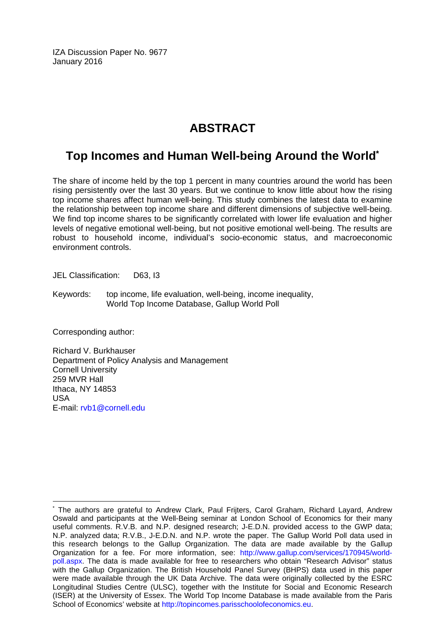IZA Discussion Paper No. 9677 January 2016

# **ABSTRACT**

# **Top Incomes and Human Well-being Around the World\***

The share of income held by the top 1 percent in many countries around the world has been rising persistently over the last 30 years. But we continue to know little about how the rising top income shares affect human well-being. This study combines the latest data to examine the relationship between top income share and different dimensions of subjective well-being. We find top income shares to be significantly correlated with lower life evaluation and higher levels of negative emotional well-being, but not positive emotional well-being. The results are robust to household income, individual's socio-economic status, and macroeconomic environment controls.

JEL Classification: D63, I3

Keywords: top income, life evaluation, well-being, income inequality, World Top Income Database, Gallup World Poll

Corresponding author:

 $\overline{a}$ 

Richard V. Burkhauser Department of Policy Analysis and Management Cornell University 259 MVR Hall Ithaca, NY 14853 USA E-mail: rvb1@cornell.edu

<sup>\*</sup> The authors are grateful to Andrew Clark, Paul Frijters, Carol Graham, Richard Layard, Andrew Oswald and participants at the Well-Being seminar at London School of Economics for their many useful comments. R.V.B. and N.P. designed research; J-E.D.N. provided access to the GWP data; N.P. analyzed data; R.V.B., J-E.D.N. and N.P. wrote the paper. The Gallup World Poll data used in this research belongs to the Gallup Organization. The data are made available by the Gallup Organization for a fee. For more information, see: http://www.gallup.com/services/170945/worldpoll.aspx. The data is made available for free to researchers who obtain "Research Advisor" status with the Gallup Organization. The British Household Panel Survey (BHPS) data used in this paper were made available through the UK Data Archive. The data were originally collected by the ESRC Longitudinal Studies Centre (ULSC), together with the Institute for Social and Economic Research (ISER) at the University of Essex. The World Top Income Database is made available from the Paris School of Economics' website at http://topincomes.parisschoolofeconomics.eu.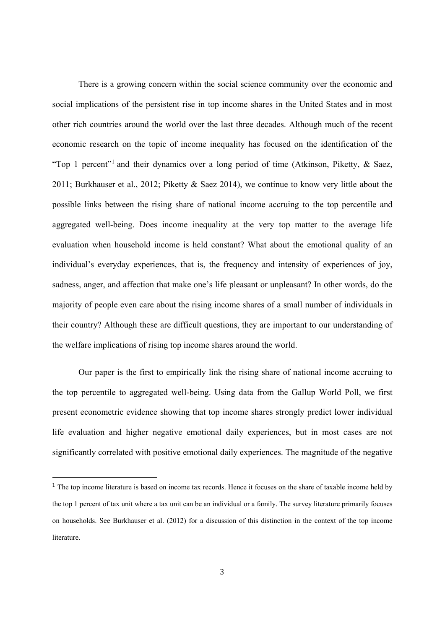There is a growing concern within the social science community over the economic and social implications of the persistent rise in top income shares in the United States and in most other rich countries around the world over the last three decades. Although much of the recent economic research on the topic of income inequality has focused on the identification of the "Top 1 percent"<sup>1</sup> and their dynamics over a long period of time (Atkinson, Piketty, & Saez, 2011; Burkhauser et al., 2012; Piketty & Saez 2014), we continue to know very little about the possible links between the rising share of national income accruing to the top percentile and aggregated well-being. Does income inequality at the very top matter to the average life evaluation when household income is held constant? What about the emotional quality of an individual's everyday experiences, that is, the frequency and intensity of experiences of joy, sadness, anger, and affection that make one's life pleasant or unpleasant? In other words, do the majority of people even care about the rising income shares of a small number of individuals in their country? Although these are difficult questions, they are important to our understanding of the welfare implications of rising top income shares around the world.

Our paper is the first to empirically link the rising share of national income accruing to the top percentile to aggregated well-being. Using data from the Gallup World Poll, we first present econometric evidence showing that top income shares strongly predict lower individual life evaluation and higher negative emotional daily experiences, but in most cases are not significantly correlated with positive emotional daily experiences. The magnitude of the negative

<sup>1</sup> The top income literature is based on income tax records. Hence it focuses on the share of taxable income held by the top 1 percent of tax unit where a tax unit can be an individual or a family. The survey literature primarily focuses on households. See Burkhauser et al. (2012) for a discussion of this distinction in the context of the top income literature.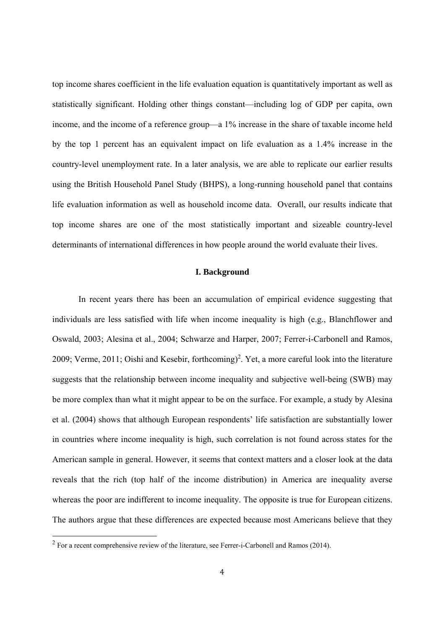top income shares coefficient in the life evaluation equation is quantitatively important as well as statistically significant. Holding other things constant—including log of GDP per capita, own income, and the income of a reference group—a 1% increase in the share of taxable income held by the top 1 percent has an equivalent impact on life evaluation as a 1.4% increase in the country-level unemployment rate. In a later analysis, we are able to replicate our earlier results using the British Household Panel Study (BHPS), a long-running household panel that contains life evaluation information as well as household income data. Overall, our results indicate that top income shares are one of the most statistically important and sizeable country-level determinants of international differences in how people around the world evaluate their lives.

#### **I. Background**

 In recent years there has been an accumulation of empirical evidence suggesting that individuals are less satisfied with life when income inequality is high (e.g., Blanchflower and Oswald, 2003; Alesina et al., 2004; Schwarze and Harper, 2007; Ferrer-i-Carbonell and Ramos, 2009; Verme, 2011; Oishi and Kesebir, forthcoming)<sup>2</sup>. Yet, a more careful look into the literature suggests that the relationship between income inequality and subjective well-being (SWB) may be more complex than what it might appear to be on the surface. For example, a study by Alesina et al. (2004) shows that although European respondents' life satisfaction are substantially lower in countries where income inequality is high, such correlation is not found across states for the American sample in general. However, it seems that context matters and a closer look at the data reveals that the rich (top half of the income distribution) in America are inequality averse whereas the poor are indifferent to income inequality. The opposite is true for European citizens. The authors argue that these differences are expected because most Americans believe that they

 $2^2$  For a recent comprehensive review of the literature, see Ferrer-i-Carbonell and Ramos (2014).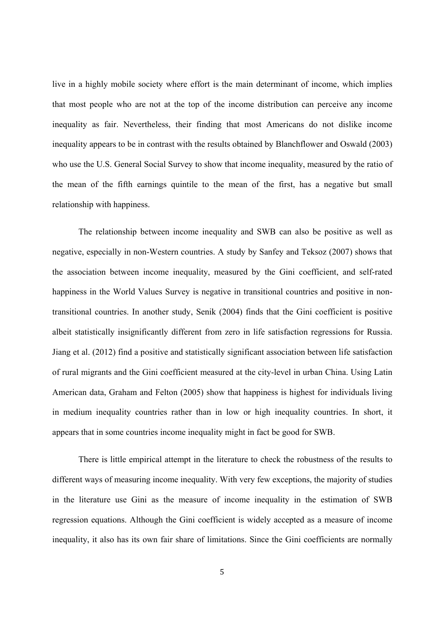live in a highly mobile society where effort is the main determinant of income, which implies that most people who are not at the top of the income distribution can perceive any income inequality as fair. Nevertheless, their finding that most Americans do not dislike income inequality appears to be in contrast with the results obtained by Blanchflower and Oswald (2003) who use the U.S. General Social Survey to show that income inequality, measured by the ratio of the mean of the fifth earnings quintile to the mean of the first, has a negative but small relationship with happiness.

 The relationship between income inequality and SWB can also be positive as well as negative, especially in non-Western countries. A study by Sanfey and Teksoz (2007) shows that the association between income inequality, measured by the Gini coefficient, and self-rated happiness in the World Values Survey is negative in transitional countries and positive in nontransitional countries. In another study, Senik (2004) finds that the Gini coefficient is positive albeit statistically insignificantly different from zero in life satisfaction regressions for Russia. Jiang et al. (2012) find a positive and statistically significant association between life satisfaction of rural migrants and the Gini coefficient measured at the city-level in urban China. Using Latin American data, Graham and Felton (2005) show that happiness is highest for individuals living in medium inequality countries rather than in low or high inequality countries. In short, it appears that in some countries income inequality might in fact be good for SWB.

 There is little empirical attempt in the literature to check the robustness of the results to different ways of measuring income inequality. With very few exceptions, the majority of studies in the literature use Gini as the measure of income inequality in the estimation of SWB regression equations. Although the Gini coefficient is widely accepted as a measure of income inequality, it also has its own fair share of limitations. Since the Gini coefficients are normally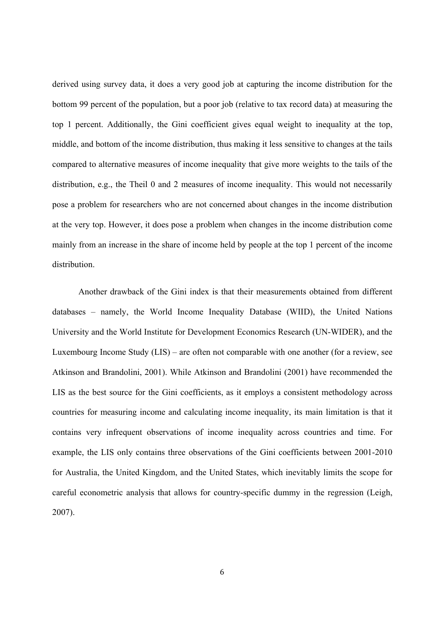derived using survey data, it does a very good job at capturing the income distribution for the bottom 99 percent of the population, but a poor job (relative to tax record data) at measuring the top 1 percent. Additionally, the Gini coefficient gives equal weight to inequality at the top, middle, and bottom of the income distribution, thus making it less sensitive to changes at the tails compared to alternative measures of income inequality that give more weights to the tails of the distribution, e.g., the Theil 0 and 2 measures of income inequality. This would not necessarily pose a problem for researchers who are not concerned about changes in the income distribution at the very top. However, it does pose a problem when changes in the income distribution come mainly from an increase in the share of income held by people at the top 1 percent of the income distribution.

 Another drawback of the Gini index is that their measurements obtained from different databases – namely, the World Income Inequality Database (WIID), the United Nations University and the World Institute for Development Economics Research (UN-WIDER), and the Luxembourg Income Study (LIS) – are often not comparable with one another (for a review, see Atkinson and Brandolini, 2001). While Atkinson and Brandolini (2001) have recommended the LIS as the best source for the Gini coefficients, as it employs a consistent methodology across countries for measuring income and calculating income inequality, its main limitation is that it contains very infrequent observations of income inequality across countries and time. For example, the LIS only contains three observations of the Gini coefficients between 2001-2010 for Australia, the United Kingdom, and the United States, which inevitably limits the scope for careful econometric analysis that allows for country-specific dummy in the regression (Leigh, 2007).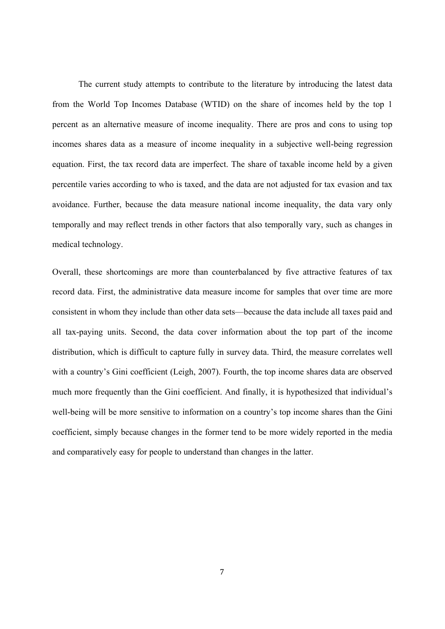The current study attempts to contribute to the literature by introducing the latest data from the World Top Incomes Database (WTID) on the share of incomes held by the top 1 percent as an alternative measure of income inequality. There are pros and cons to using top incomes shares data as a measure of income inequality in a subjective well-being regression equation. First, the tax record data are imperfect. The share of taxable income held by a given percentile varies according to who is taxed, and the data are not adjusted for tax evasion and tax avoidance. Further, because the data measure national income inequality, the data vary only temporally and may reflect trends in other factors that also temporally vary, such as changes in medical technology.

Overall, these shortcomings are more than counterbalanced by five attractive features of tax record data. First, the administrative data measure income for samples that over time are more consistent in whom they include than other data sets—because the data include all taxes paid and all tax-paying units. Second, the data cover information about the top part of the income distribution, which is difficult to capture fully in survey data. Third, the measure correlates well with a country's Gini coefficient (Leigh, 2007). Fourth, the top income shares data are observed much more frequently than the Gini coefficient. And finally, it is hypothesized that individual's well-being will be more sensitive to information on a country's top income shares than the Gini coefficient, simply because changes in the former tend to be more widely reported in the media and comparatively easy for people to understand than changes in the latter.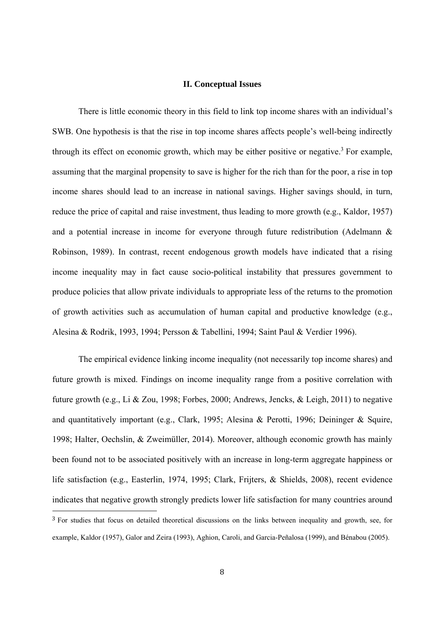#### **II. Conceptual Issues**

There is little economic theory in this field to link top income shares with an individual's SWB. One hypothesis is that the rise in top income shares affects people's well-being indirectly through its effect on economic growth, which may be either positive or negative.<sup>3</sup> For example, assuming that the marginal propensity to save is higher for the rich than for the poor, a rise in top income shares should lead to an increase in national savings. Higher savings should, in turn, reduce the price of capital and raise investment, thus leading to more growth (e.g., Kaldor, 1957) and a potential increase in income for everyone through future redistribution (Adelmann & Robinson, 1989). In contrast, recent endogenous growth models have indicated that a rising income inequality may in fact cause socio-political instability that pressures government to produce policies that allow private individuals to appropriate less of the returns to the promotion of growth activities such as accumulation of human capital and productive knowledge (e.g., Alesina & Rodrik, 1993, 1994; Persson & Tabellini, 1994; Saint Paul & Verdier 1996).

The empirical evidence linking income inequality (not necessarily top income shares) and future growth is mixed. Findings on income inequality range from a positive correlation with future growth (e.g., Li & Zou, 1998; Forbes, 2000; Andrews, Jencks, & Leigh, 2011) to negative and quantitatively important (e.g., Clark, 1995; Alesina & Perotti, 1996; Deininger & Squire, 1998; Halter, Oechslin, & Zweimüller, 2014). Moreover, although economic growth has mainly been found not to be associated positively with an increase in long-term aggregate happiness or life satisfaction (e.g., Easterlin, 1974, 1995; Clark, Frijters, & Shields, 2008), recent evidence indicates that negative growth strongly predicts lower life satisfaction for many countries around <sup>3</sup> For studies that focus on detailed theoretical discussions on the links between inequality and growth, see, for example, Kaldor (1957), Galor and Zeira (1993), Aghion, Caroli, and Garcia-Peñalosa (1999), and Bénabou (2005).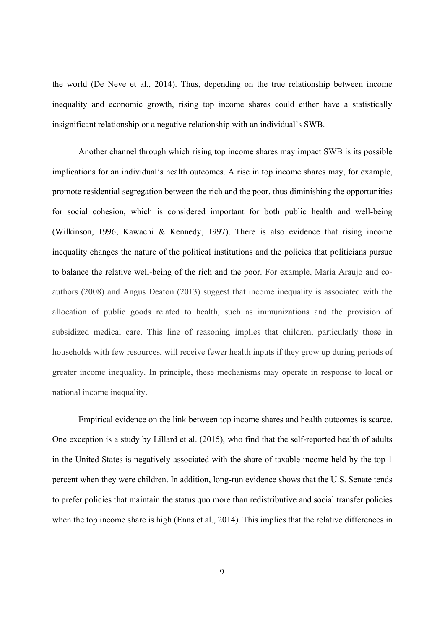the world (De Neve et al*.*, 2014). Thus, depending on the true relationship between income inequality and economic growth, rising top income shares could either have a statistically insignificant relationship or a negative relationship with an individual's SWB.

Another channel through which rising top income shares may impact SWB is its possible implications for an individual's health outcomes. A rise in top income shares may, for example, promote residential segregation between the rich and the poor, thus diminishing the opportunities for social cohesion, which is considered important for both public health and well-being (Wilkinson, 1996; Kawachi & Kennedy, 1997). There is also evidence that rising income inequality changes the nature of the political institutions and the policies that politicians pursue to balance the relative well-being of the rich and the poor. For example, Maria Araujo and coauthors (2008) and Angus Deaton (2013) suggest that income inequality is associated with the allocation of public goods related to health, such as immunizations and the provision of subsidized medical care. This line of reasoning implies that children, particularly those in households with few resources, will receive fewer health inputs if they grow up during periods of greater income inequality. In principle, these mechanisms may operate in response to local or national income inequality.

Empirical evidence on the link between top income shares and health outcomes is scarce. One exception is a study by Lillard et al. (2015), who find that the self-reported health of adults in the United States is negatively associated with the share of taxable income held by the top 1 percent when they were children. In addition, long-run evidence shows that the U.S. Senate tends to prefer policies that maintain the status quo more than redistributive and social transfer policies when the top income share is high (Enns et al., 2014). This implies that the relative differences in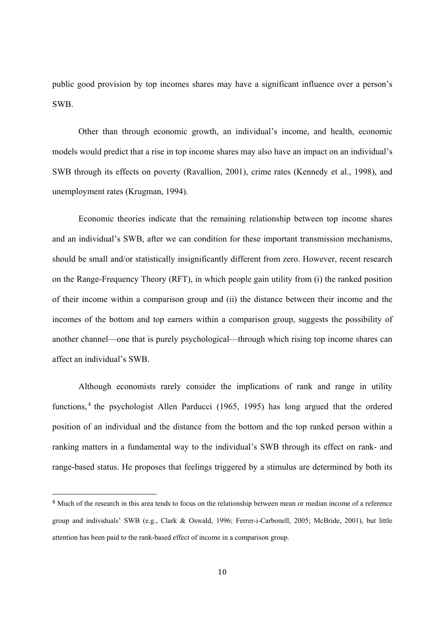public good provision by top incomes shares may have a significant influence over a person's SWB.

Other than through economic growth, an individual's income, and health, economic models would predict that a rise in top income shares may also have an impact on an individual's SWB through its effects on poverty (Ravallion, 2001), crime rates (Kennedy et al., 1998), and unemployment rates (Krugman, 1994).

Economic theories indicate that the remaining relationship between top income shares and an individual's SWB, after we can condition for these important transmission mechanisms, should be small and/or statistically insignificantly different from zero. However, recent research on the Range-Frequency Theory (RFT), in which people gain utility from (i) the ranked position of their income within a comparison group and (ii) the distance between their income and the incomes of the bottom and top earners within a comparison group, suggests the possibility of another channel—one that is purely psychological—through which rising top income shares can affect an individual's SWB.

Although economists rarely consider the implications of rank and range in utility functions, 4 the psychologist Allen Parducci (1965, 1995) has long argued that the ordered position of an individual and the distance from the bottom and the top ranked person within a ranking matters in a fundamental way to the individual's SWB through its effect on rank- and range-based status. He proposes that feelings triggered by a stimulus are determined by both its

<sup>4</sup> Much of the research in this area tends to focus on the relationship between mean or median income of a reference group and individuals' SWB (e.g., Clark & Oswald, 1996; Ferrer-i-Carbonell, 2005; McBride, 2001), but little attention has been paid to the rank-based effect of income in a comparison group.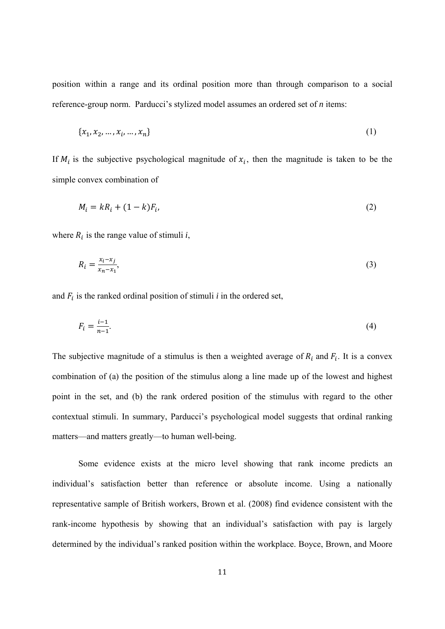position within a range and its ordinal position more than through comparison to a social reference-group norm. Parducci's stylized model assumes an ordered set of *n* items:

$$
\{x_1, x_2, ..., x_i, ..., x_n\}
$$
 (1)

If  $M_i$  is the subjective psychological magnitude of  $x_i$ , then the magnitude is taken to be the simple convex combination of

$$
M_i = kR_i + (1 - k)F_i,\tag{2}
$$

where  $R_i$  is the range value of stimuli  $i$ ,

$$
R_i = \frac{x_i - x_j}{x_n - x_1},\tag{3}
$$

and  $F_i$  is the ranked ordinal position of stimuli  $i$  in the ordered set,

$$
F_i = \frac{i-1}{n-1}.\tag{4}
$$

The subjective magnitude of a stimulus is then a weighted average of  $R_i$  and  $F_i$ . It is a convex combination of (a) the position of the stimulus along a line made up of the lowest and highest point in the set, and (b) the rank ordered position of the stimulus with regard to the other contextual stimuli. In summary, Parducci's psychological model suggests that ordinal ranking matters—and matters greatly—to human well-being.

Some evidence exists at the micro level showing that rank income predicts an individual's satisfaction better than reference or absolute income. Using a nationally representative sample of British workers, Brown et al. (2008) find evidence consistent with the rank-income hypothesis by showing that an individual's satisfaction with pay is largely determined by the individual's ranked position within the workplace. Boyce, Brown, and Moore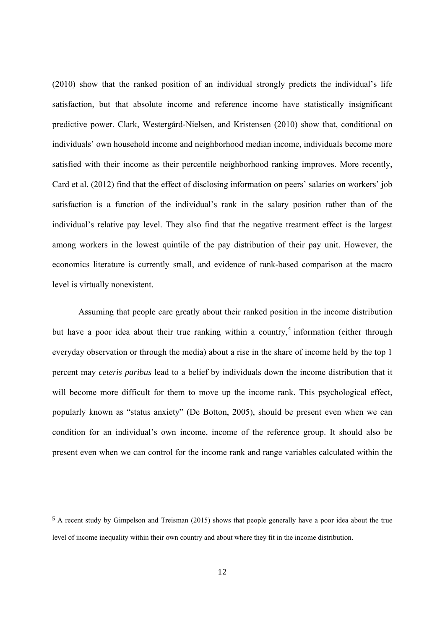(2010) show that the ranked position of an individual strongly predicts the individual's life satisfaction, but that absolute income and reference income have statistically insignificant predictive power. Clark, Westergård-Nielsen, and Kristensen (2010) show that, conditional on individuals' own household income and neighborhood median income, individuals become more satisfied with their income as their percentile neighborhood ranking improves. More recently, Card et al. (2012) find that the effect of disclosing information on peers' salaries on workers' job satisfaction is a function of the individual's rank in the salary position rather than of the individual's relative pay level. They also find that the negative treatment effect is the largest among workers in the lowest quintile of the pay distribution of their pay unit. However, the economics literature is currently small, and evidence of rank-based comparison at the macro level is virtually nonexistent.

Assuming that people care greatly about their ranked position in the income distribution but have a poor idea about their true ranking within a country,<sup>5</sup> information (either through everyday observation or through the media) about a rise in the share of income held by the top 1 percent may *ceteris paribus* lead to a belief by individuals down the income distribution that it will become more difficult for them to move up the income rank. This psychological effect, popularly known as "status anxiety" (De Botton, 2005), should be present even when we can condition for an individual's own income, income of the reference group. It should also be present even when we can control for the income rank and range variables calculated within the

<sup>5</sup> A recent study by Gimpelson and Treisman (2015) shows that people generally have a poor idea about the true level of income inequality within their own country and about where they fit in the income distribution.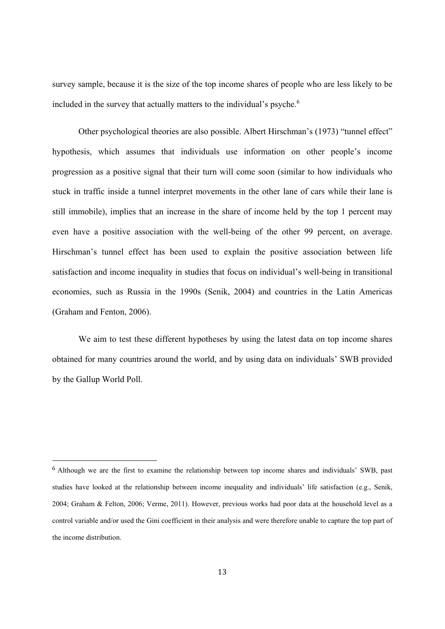survey sample, because it is the size of the top income shares of people who are less likely to be included in the survey that actually matters to the individual's psyche.<sup>6</sup>

Other psychological theories are also possible. Albert Hirschman's (1973) "tunnel effect" hypothesis, which assumes that individuals use information on other people's income progression as a positive signal that their turn will come soon (similar to how individuals who stuck in traffic inside a tunnel interpret movements in the other lane of cars while their lane is still immobile), implies that an increase in the share of income held by the top 1 percent may even have a positive association with the well-being of the other 99 percent, on average. Hirschman's tunnel effect has been used to explain the positive association between life satisfaction and income inequality in studies that focus on individual's well-being in transitional economies, such as Russia in the 1990s (Senik, 2004) and countries in the Latin Americas (Graham and Fenton, 2006).

We aim to test these different hypotheses by using the latest data on top income shares obtained for many countries around the world, and by using data on individuals' SWB provided by the Gallup World Poll.

<sup>6</sup> Although we are the first to examine the relationship between top income shares and individuals' SWB, past studies have looked at the relationship between income inequality and individuals' life satisfaction (e.g., Senik, 2004; Graham & Felton, 2006; Verme, 2011). However, previous works had poor data at the household level as a control variable and/or used the Gini coefficient in their analysis and were therefore unable to capture the top part of the income distribution.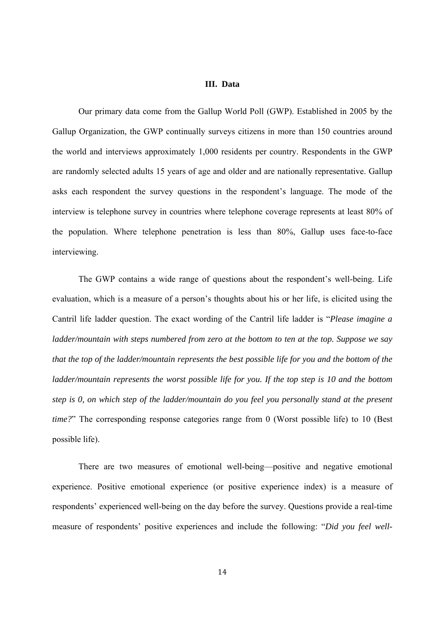#### **III. Data**

Our primary data come from the Gallup World Poll (GWP). Established in 2005 by the Gallup Organization, the GWP continually surveys citizens in more than 150 countries around the world and interviews approximately 1,000 residents per country. Respondents in the GWP are randomly selected adults 15 years of age and older and are nationally representative. Gallup asks each respondent the survey questions in the respondent's language. The mode of the interview is telephone survey in countries where telephone coverage represents at least 80% of the population. Where telephone penetration is less than 80%, Gallup uses face-to-face interviewing.

The GWP contains a wide range of questions about the respondent's well-being. Life evaluation, which is a measure of a person's thoughts about his or her life, is elicited using the Cantril life ladder question. The exact wording of the Cantril life ladder is "*Please imagine a ladder/mountain with steps numbered from zero at the bottom to ten at the top. Suppose we say that the top of the ladder/mountain represents the best possible life for you and the bottom of the ladder/mountain represents the worst possible life for you. If the top step is 10 and the bottom step is 0, on which step of the ladder/mountain do you feel you personally stand at the present time?*" The corresponding response categories range from 0 (Worst possible life) to 10 (Best possible life).

There are two measures of emotional well-being—positive and negative emotional experience. Positive emotional experience (or positive experience index) is a measure of respondents' experienced well-being on the day before the survey. Questions provide a real-time measure of respondents' positive experiences and include the following: "*Did you feel well-*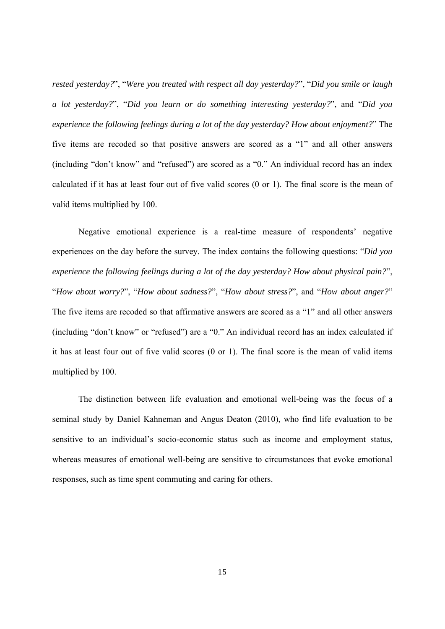*rested yesterday?*", "*Were you treated with respect all day yesterday?*", "*Did you smile or laugh a lot yesterday?*", "*Did you learn or do something interesting yesterday?*", and "*Did you experience the following feelings during a lot of the day yesterday? How about enjoyment?*" The five items are recoded so that positive answers are scored as a "1" and all other answers (including "don't know" and "refused") are scored as a "0." An individual record has an index calculated if it has at least four out of five valid scores (0 or 1). The final score is the mean of valid items multiplied by 100.

Negative emotional experience is a real-time measure of respondents' negative experiences on the day before the survey. The index contains the following questions: "*Did you experience the following feelings during a lot of the day yesterday? How about physical pain?*", "*How about worry?*", "*How about sadness?*", "*How about stress?*", and "*How about anger?*" The five items are recoded so that affirmative answers are scored as a "1" and all other answers (including "don't know" or "refused") are a "0." An individual record has an index calculated if it has at least four out of five valid scores (0 or 1). The final score is the mean of valid items multiplied by 100.

The distinction between life evaluation and emotional well-being was the focus of a seminal study by Daniel Kahneman and Angus Deaton (2010), who find life evaluation to be sensitive to an individual's socio-economic status such as income and employment status, whereas measures of emotional well-being are sensitive to circumstances that evoke emotional responses, such as time spent commuting and caring for others.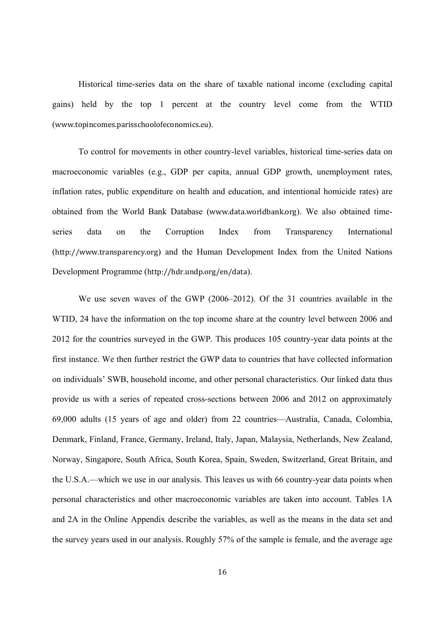Historical time-series data on the share of taxable national income (excluding capital gains) held by the top 1 percent at the country level come from the WTID (www.topincomes.parisschoolofeconomics.eu).

To control for movements in other country-level variables, historical time-series data on macroeconomic variables (e.g., GDP per capita, annual GDP growth, unemployment rates, inflation rates, public expenditure on health and education, and intentional homicide rates) are obtained from the World Bank Database (www.data.worldbank.org). We also obtained timeseries data on the Corruption Index from Transparency International (http://www.transparency.org) and the Human Development Index from the United Nations Development Programme (http://hdr.undp.org/en/data).

We use seven waves of the GWP (2006–2012). Of the 31 countries available in the WTID, 24 have the information on the top income share at the country level between 2006 and 2012 for the countries surveyed in the GWP. This produces 105 country-year data points at the first instance. We then further restrict the GWP data to countries that have collected information on individuals' SWB, household income, and other personal characteristics. Our linked data thus provide us with a series of repeated cross-sections between 2006 and 2012 on approximately 69,000 adults (15 years of age and older) from 22 countries—Australia, Canada, Colombia, Denmark, Finland, France, Germany, Ireland, Italy, Japan, Malaysia, Netherlands, New Zealand, Norway, Singapore, South Africa, South Korea, Spain, Sweden, Switzerland, Great Britain, and the U.S.A.—which we use in our analysis. This leaves us with 66 country-year data points when personal characteristics and other macroeconomic variables are taken into account. Tables 1A and 2A in the Online Appendix describe the variables, as well as the means in the data set and the survey years used in our analysis. Roughly 57% of the sample is female, and the average age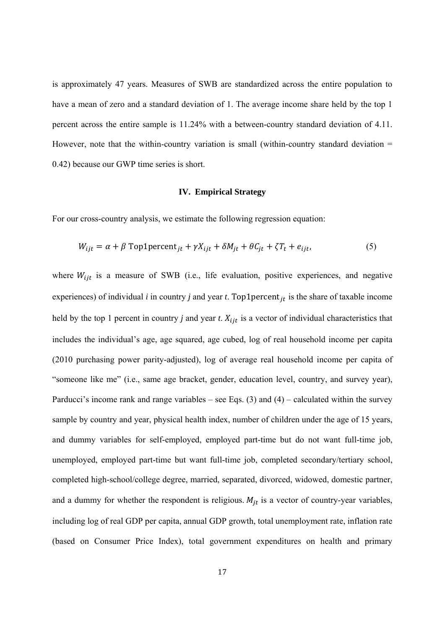is approximately 47 years. Measures of SWB are standardized across the entire population to have a mean of zero and a standard deviation of 1. The average income share held by the top 1 percent across the entire sample is 11.24% with a between-country standard deviation of 4.11. However, note that the within-country variation is small (within-country standard deviation  $=$ 0.42) because our GWP time series is short.

#### **IV. Empirical Strategy**

For our cross-country analysis, we estimate the following regression equation:

$$
W_{ijt} = \alpha + \beta \text{Top1percent}_{jt} + \gamma X_{ijt} + \delta M_{jt} + \theta C_{jt} + \zeta T_t + e_{ijt},
$$
\n<sup>(5)</sup>

where  $W_{ijt}$  is a measure of SWB (i.e., life evaluation, positive experiences, and negative experiences) of individual  $i$  in country  $j$  and year  $t$ . Top1percent<sub> $it$ </sub> is the share of taxable income held by the top 1 percent in country *j* and year *t*.  $X_{ijt}$  is a vector of individual characteristics that includes the individual's age, age squared, age cubed, log of real household income per capita (2010 purchasing power parity-adjusted), log of average real household income per capita of "someone like me" (i.e., same age bracket, gender, education level, country, and survey year), Parducci's income rank and range variables – see Eqs. (3) and (4) – calculated within the survey sample by country and year, physical health index, number of children under the age of 15 years, and dummy variables for self-employed, employed part-time but do not want full-time job, unemployed, employed part-time but want full-time job, completed secondary/tertiary school, completed high-school/college degree, married, separated, divorced, widowed, domestic partner, and a dummy for whether the respondent is religious.  $M_{jt}$  is a vector of country-year variables, including log of real GDP per capita, annual GDP growth, total unemployment rate, inflation rate (based on Consumer Price Index), total government expenditures on health and primary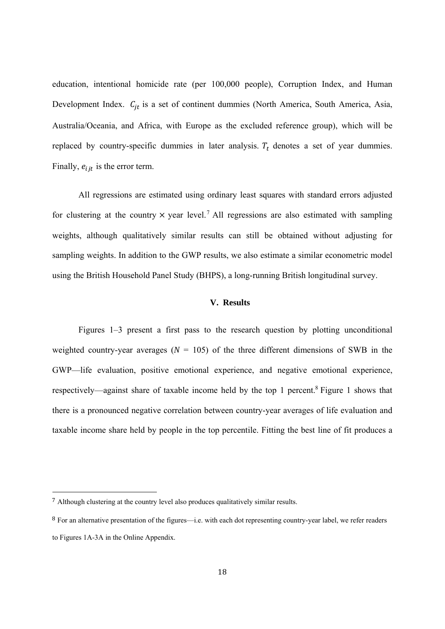education, intentional homicide rate (per 100,000 people), Corruption Index, and Human Development Index.  $C_{jt}$  is a set of continent dummies (North America, South America, Asia, Australia/Oceania, and Africa, with Europe as the excluded reference group), which will be replaced by country-specific dummies in later analysis.  $T_t$  denotes a set of year dummies. Finally,  $e_{ijt}$  is the error term.

All regressions are estimated using ordinary least squares with standard errors adjusted for clustering at the country  $\times$  year level.<sup>7</sup> All regressions are also estimated with sampling weights, although qualitatively similar results can still be obtained without adjusting for sampling weights. In addition to the GWP results, we also estimate a similar econometric model using the British Household Panel Study (BHPS), a long-running British longitudinal survey.

#### **V. Results**

Figures 1–3 present a first pass to the research question by plotting unconditional weighted country-year averages ( $N = 105$ ) of the three different dimensions of SWB in the GWP—life evaluation, positive emotional experience, and negative emotional experience, respectively—against share of taxable income held by the top 1 percent.<sup>8</sup> Figure 1 shows that there is a pronounced negative correlation between country-year averages of life evaluation and taxable income share held by people in the top percentile. Fitting the best line of fit produces a

<sup>7</sup> Although clustering at the country level also produces qualitatively similar results.

<sup>8</sup> For an alternative presentation of the figures—i.e. with each dot representing country-year label, we refer readers to Figures 1A-3A in the Online Appendix.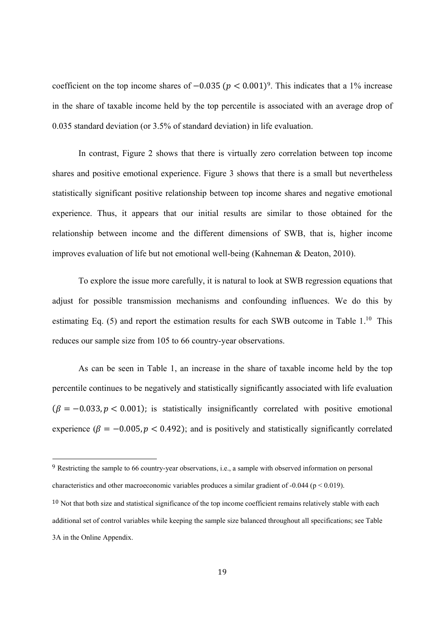coefficient on the top income shares of  $-0.035$  ( $p < 0.001$ )<sup>9</sup>. This indicates that a 1% increase in the share of taxable income held by the top percentile is associated with an average drop of 0.035 standard deviation (or 3.5% of standard deviation) in life evaluation.

In contrast, Figure 2 shows that there is virtually zero correlation between top income shares and positive emotional experience. Figure 3 shows that there is a small but nevertheless statistically significant positive relationship between top income shares and negative emotional experience. Thus, it appears that our initial results are similar to those obtained for the relationship between income and the different dimensions of SWB, that is, higher income improves evaluation of life but not emotional well-being (Kahneman & Deaton, 2010).

To explore the issue more carefully, it is natural to look at SWB regression equations that adjust for possible transmission mechanisms and confounding influences. We do this by estimating Eq. (5) and report the estimation results for each SWB outcome in Table 1.<sup>10</sup> This reduces our sample size from 105 to 66 country-year observations.

As can be seen in Table 1, an increase in the share of taxable income held by the top percentile continues to be negatively and statistically significantly associated with life evaluation  $(\beta = -0.033, p < 0.001)$ ; is statistically insignificantly correlated with positive emotional experience ( $\beta = -0.005$ ,  $p < 0.492$ ); and is positively and statistically significantly correlated

<sup>9</sup> Restricting the sample to 66 country-year observations, i.e., a sample with observed information on personal characteristics and other macroeconomic variables produces a similar gradient of -0.044 ( $p < 0.019$ ).

 $10$  Not that both size and statistical significance of the top income coefficient remains relatively stable with each additional set of control variables while keeping the sample size balanced throughout all specifications; see Table 3A in the Online Appendix.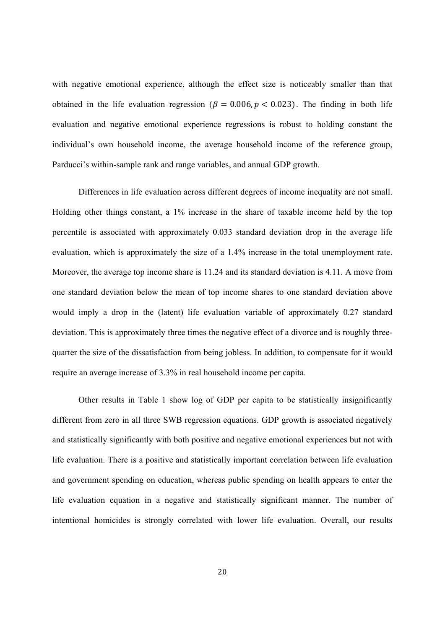with negative emotional experience, although the effect size is noticeably smaller than that obtained in the life evaluation regression ( $\beta = 0.006$ ,  $p < 0.023$ ). The finding in both life evaluation and negative emotional experience regressions is robust to holding constant the individual's own household income, the average household income of the reference group, Parducci's within-sample rank and range variables, and annual GDP growth.

Differences in life evaluation across different degrees of income inequality are not small. Holding other things constant, a 1% increase in the share of taxable income held by the top percentile is associated with approximately 0.033 standard deviation drop in the average life evaluation, which is approximately the size of a 1.4% increase in the total unemployment rate. Moreover, the average top income share is 11.24 and its standard deviation is 4.11. A move from one standard deviation below the mean of top income shares to one standard deviation above would imply a drop in the (latent) life evaluation variable of approximately 0.27 standard deviation. This is approximately three times the negative effect of a divorce and is roughly threequarter the size of the dissatisfaction from being jobless. In addition, to compensate for it would require an average increase of 3.3% in real household income per capita.

Other results in Table 1 show log of GDP per capita to be statistically insignificantly different from zero in all three SWB regression equations. GDP growth is associated negatively and statistically significantly with both positive and negative emotional experiences but not with life evaluation. There is a positive and statistically important correlation between life evaluation and government spending on education, whereas public spending on health appears to enter the life evaluation equation in a negative and statistically significant manner. The number of intentional homicides is strongly correlated with lower life evaluation. Overall, our results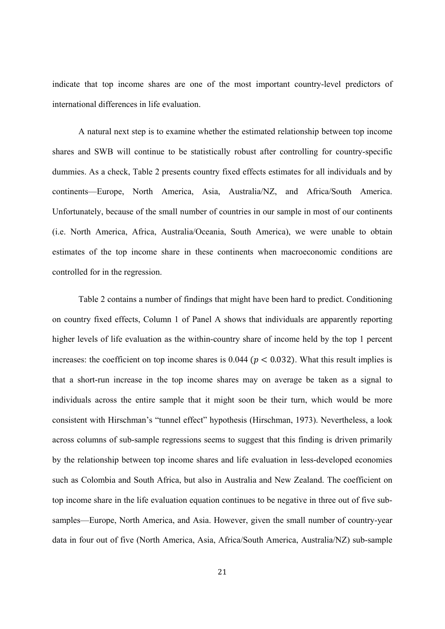indicate that top income shares are one of the most important country-level predictors of international differences in life evaluation.

A natural next step is to examine whether the estimated relationship between top income shares and SWB will continue to be statistically robust after controlling for country-specific dummies. As a check, Table 2 presents country fixed effects estimates for all individuals and by continents—Europe, North America, Asia, Australia/NZ, and Africa/South America. Unfortunately, because of the small number of countries in our sample in most of our continents (i.e. North America, Africa, Australia/Oceania, South America), we were unable to obtain estimates of the top income share in these continents when macroeconomic conditions are controlled for in the regression.

Table 2 contains a number of findings that might have been hard to predict. Conditioning on country fixed effects, Column 1 of Panel A shows that individuals are apparently reporting higher levels of life evaluation as the within-country share of income held by the top 1 percent increases: the coefficient on top income shares is  $0.044$  ( $p < 0.032$ ). What this result implies is that a short-run increase in the top income shares may on average be taken as a signal to individuals across the entire sample that it might soon be their turn, which would be more consistent with Hirschman's "tunnel effect" hypothesis (Hirschman, 1973). Nevertheless, a look across columns of sub-sample regressions seems to suggest that this finding is driven primarily by the relationship between top income shares and life evaluation in less-developed economies such as Colombia and South Africa, but also in Australia and New Zealand. The coefficient on top income share in the life evaluation equation continues to be negative in three out of five subsamples—Europe, North America, and Asia. However, given the small number of country-year data in four out of five (North America, Asia, Africa/South America, Australia/NZ) sub-sample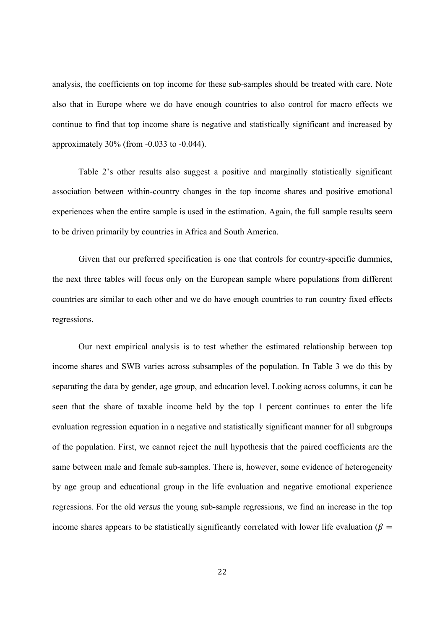analysis, the coefficients on top income for these sub-samples should be treated with care. Note also that in Europe where we do have enough countries to also control for macro effects we continue to find that top income share is negative and statistically significant and increased by approximately 30% (from -0.033 to -0.044).

Table 2's other results also suggest a positive and marginally statistically significant association between within-country changes in the top income shares and positive emotional experiences when the entire sample is used in the estimation. Again, the full sample results seem to be driven primarily by countries in Africa and South America.

Given that our preferred specification is one that controls for country-specific dummies, the next three tables will focus only on the European sample where populations from different countries are similar to each other and we do have enough countries to run country fixed effects regressions.

Our next empirical analysis is to test whether the estimated relationship between top income shares and SWB varies across subsamples of the population. In Table 3 we do this by separating the data by gender, age group, and education level. Looking across columns, it can be seen that the share of taxable income held by the top 1 percent continues to enter the life evaluation regression equation in a negative and statistically significant manner for all subgroups of the population. First, we cannot reject the null hypothesis that the paired coefficients are the same between male and female sub-samples. There is, however, some evidence of heterogeneity by age group and educational group in the life evaluation and negative emotional experience regressions. For the old *versus* the young sub-sample regressions, we find an increase in the top income shares appears to be statistically significantly correlated with lower life evaluation ( $\beta$  =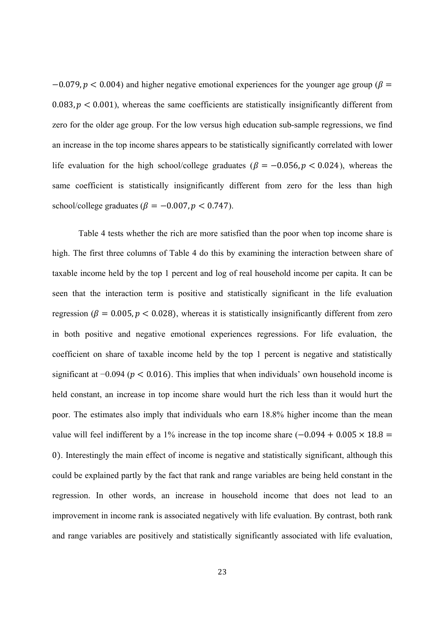$-0.079$ ,  $p < 0.004$ ) and higher negative emotional experiences for the younger age group ( $\beta =$  $0.083, p < 0.001$ ), whereas the same coefficients are statistically insignificantly different from zero for the older age group. For the low versus high education sub-sample regressions, we find an increase in the top income shares appears to be statistically significantly correlated with lower life evaluation for the high school/college graduates ( $\beta = -0.056$ ,  $p < 0.024$ ), whereas the same coefficient is statistically insignificantly different from zero for the less than high school/college graduates ( $\beta = -0.007$ ,  $p < 0.747$ ).

Table 4 tests whether the rich are more satisfied than the poor when top income share is high. The first three columns of Table 4 do this by examining the interaction between share of taxable income held by the top 1 percent and log of real household income per capita. It can be seen that the interaction term is positive and statistically significant in the life evaluation regression ( $\beta = 0.005$ ,  $p < 0.028$ ), whereas it is statistically insignificantly different from zero in both positive and negative emotional experiences regressions. For life evaluation, the coefficient on share of taxable income held by the top 1 percent is negative and statistically significant at  $-0.094$  ( $p < 0.016$ ). This implies that when individuals' own household income is held constant, an increase in top income share would hurt the rich less than it would hurt the poor. The estimates also imply that individuals who earn 18.8% higher income than the mean value will feel indifferent by a 1% increase in the top income share  $(-0.094 + 0.005 \times 18.8 =$ 0). Interestingly the main effect of income is negative and statistically significant, although this could be explained partly by the fact that rank and range variables are being held constant in the regression. In other words, an increase in household income that does not lead to an improvement in income rank is associated negatively with life evaluation. By contrast, both rank and range variables are positively and statistically significantly associated with life evaluation,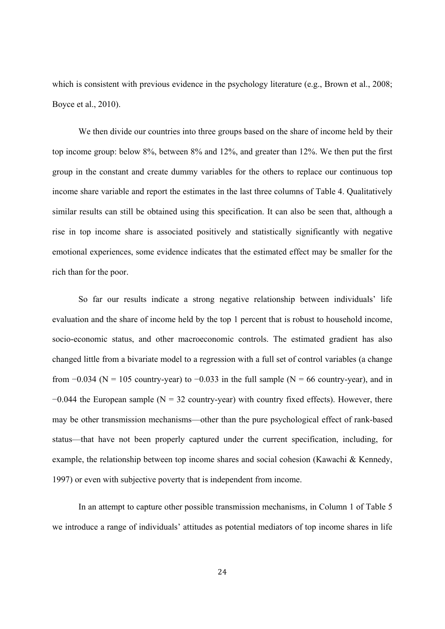which is consistent with previous evidence in the psychology literature (e.g., Brown et al., 2008; Boyce et al., 2010).

We then divide our countries into three groups based on the share of income held by their top income group: below 8%, between 8% and 12%, and greater than 12%. We then put the first group in the constant and create dummy variables for the others to replace our continuous top income share variable and report the estimates in the last three columns of Table 4. Qualitatively similar results can still be obtained using this specification. It can also be seen that, although a rise in top income share is associated positively and statistically significantly with negative emotional experiences, some evidence indicates that the estimated effect may be smaller for the rich than for the poor.

So far our results indicate a strong negative relationship between individuals' life evaluation and the share of income held by the top 1 percent that is robust to household income, socio-economic status, and other macroeconomic controls. The estimated gradient has also changed little from a bivariate model to a regression with a full set of control variables (a change from  $-0.034$  (N = 105 country-year) to  $-0.033$  in the full sample (N = 66 country-year), and in  $-0.044$  the European sample (N = 32 country-year) with country fixed effects). However, there may be other transmission mechanisms—other than the pure psychological effect of rank-based status—that have not been properly captured under the current specification, including, for example, the relationship between top income shares and social cohesion (Kawachi & Kennedy, 1997) or even with subjective poverty that is independent from income.

In an attempt to capture other possible transmission mechanisms, in Column 1 of Table 5 we introduce a range of individuals' attitudes as potential mediators of top income shares in life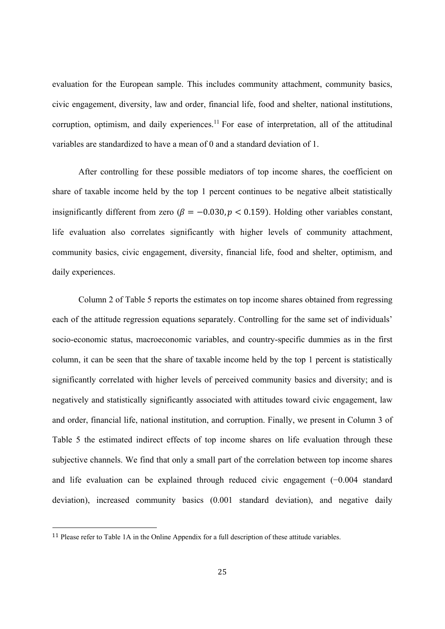evaluation for the European sample. This includes community attachment, community basics, civic engagement, diversity, law and order, financial life, food and shelter, national institutions, corruption, optimism, and daily experiences.<sup>11</sup> For ease of interpretation, all of the attitudinal variables are standardized to have a mean of 0 and a standard deviation of 1.

After controlling for these possible mediators of top income shares, the coefficient on share of taxable income held by the top 1 percent continues to be negative albeit statistically insignificantly different from zero ( $\beta = -0.030$ ,  $p < 0.159$ ). Holding other variables constant, life evaluation also correlates significantly with higher levels of community attachment, community basics, civic engagement, diversity, financial life, food and shelter, optimism, and daily experiences.

Column 2 of Table 5 reports the estimates on top income shares obtained from regressing each of the attitude regression equations separately. Controlling for the same set of individuals' socio-economic status, macroeconomic variables, and country-specific dummies as in the first column, it can be seen that the share of taxable income held by the top 1 percent is statistically significantly correlated with higher levels of perceived community basics and diversity; and is negatively and statistically significantly associated with attitudes toward civic engagement, law and order, financial life, national institution, and corruption. Finally, we present in Column 3 of Table 5 the estimated indirect effects of top income shares on life evaluation through these subjective channels. We find that only a small part of the correlation between top income shares and life evaluation can be explained through reduced civic engagement (−0.004 standard deviation), increased community basics (0.001 standard deviation), and negative daily

<sup>11</sup> Please refer to Table 1A in the Online Appendix for a full description of these attitude variables.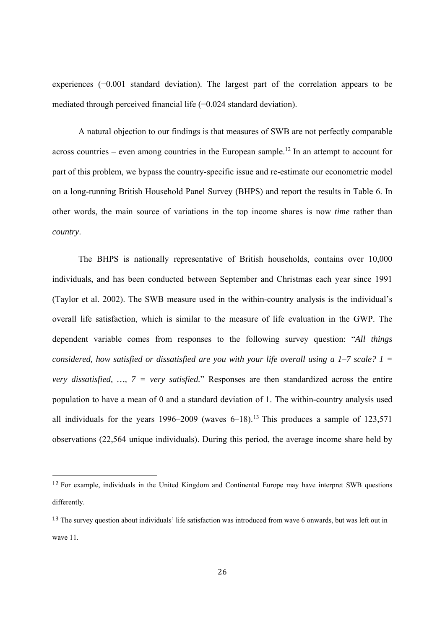experiences (−0.001 standard deviation). The largest part of the correlation appears to be mediated through perceived financial life (−0.024 standard deviation).

A natural objection to our findings is that measures of SWB are not perfectly comparable across countries – even among countries in the European sample.<sup>12</sup> In an attempt to account for part of this problem, we bypass the country-specific issue and re-estimate our econometric model on a long-running British Household Panel Survey (BHPS) and report the results in Table 6. In other words, the main source of variations in the top income shares is now *time* rather than *country*.

The BHPS is nationally representative of British households, contains over 10,000 individuals, and has been conducted between September and Christmas each year since 1991 (Taylor et al. 2002). The SWB measure used in the within-country analysis is the individual's overall life satisfaction, which is similar to the measure of life evaluation in the GWP. The dependent variable comes from responses to the following survey question: "*All things considered, how satisfied or dissatisfied are you with your life overall using a 1–7 scale? 1 = very dissatisfied, …, 7 = very satisfied.*" Responses are then standardized across the entire population to have a mean of 0 and a standard deviation of 1. The within-country analysis used all individuals for the years 1996–2009 (waves  $6-18$ ).<sup>13</sup> This produces a sample of 123,571 observations (22,564 unique individuals). During this period, the average income share held by

<sup>12</sup> For example, individuals in the United Kingdom and Continental Europe may have interpret SWB questions differently.

<sup>&</sup>lt;sup>13</sup> The survey question about individuals' life satisfaction was introduced from wave 6 onwards, but was left out in wave 11.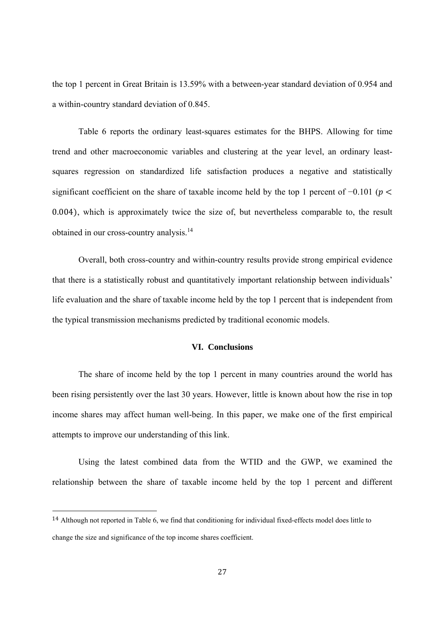the top 1 percent in Great Britain is 13.59% with a between-year standard deviation of 0.954 and a within-country standard deviation of 0.845.

Table 6 reports the ordinary least-squares estimates for the BHPS. Allowing for time trend and other macroeconomic variables and clustering at the year level, an ordinary leastsquares regression on standardized life satisfaction produces a negative and statistically significant coefficient on the share of taxable income held by the top 1 percent of  $-0.101$  ( $p <$  $0.004$ , which is approximately twice the size of, but nevertheless comparable to, the result obtained in our cross-country analysis.14

Overall, both cross-country and within-country results provide strong empirical evidence that there is a statistically robust and quantitatively important relationship between individuals' life evaluation and the share of taxable income held by the top 1 percent that is independent from the typical transmission mechanisms predicted by traditional economic models.

#### **VI. Conclusions**

The share of income held by the top 1 percent in many countries around the world has been rising persistently over the last 30 years. However, little is known about how the rise in top income shares may affect human well-being. In this paper, we make one of the first empirical attempts to improve our understanding of this link.

Using the latest combined data from the WTID and the GWP, we examined the relationship between the share of taxable income held by the top 1 percent and different

<sup>14</sup> Although not reported in Table 6, we find that conditioning for individual fixed-effects model does little to change the size and significance of the top income shares coefficient.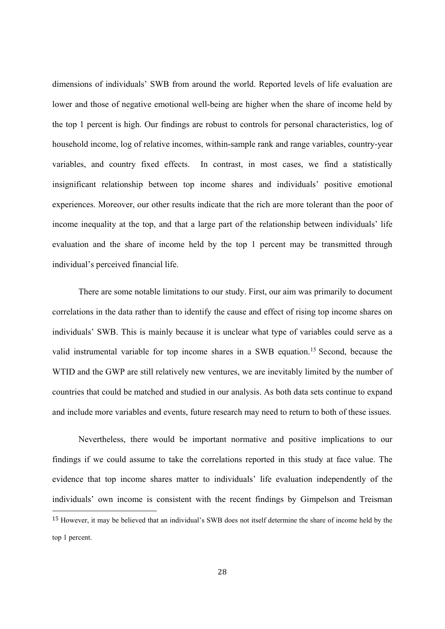dimensions of individuals' SWB from around the world. Reported levels of life evaluation are lower and those of negative emotional well-being are higher when the share of income held by the top 1 percent is high. Our findings are robust to controls for personal characteristics, log of household income, log of relative incomes, within-sample rank and range variables, country-year variables, and country fixed effects. In contrast, in most cases, we find a statistically insignificant relationship between top income shares and individuals' positive emotional experiences. Moreover, our other results indicate that the rich are more tolerant than the poor of income inequality at the top, and that a large part of the relationship between individuals' life evaluation and the share of income held by the top 1 percent may be transmitted through individual's perceived financial life.

There are some notable limitations to our study. First, our aim was primarily to document correlations in the data rather than to identify the cause and effect of rising top income shares on individuals' SWB. This is mainly because it is unclear what type of variables could serve as a valid instrumental variable for top income shares in a SWB equation.15 Second, because the WTID and the GWP are still relatively new ventures, we are inevitably limited by the number of countries that could be matched and studied in our analysis. As both data sets continue to expand and include more variables and events, future research may need to return to both of these issues.

Nevertheless, there would be important normative and positive implications to our findings if we could assume to take the correlations reported in this study at face value. The evidence that top income shares matter to individuals' life evaluation independently of the individuals' own income is consistent with the recent findings by Gimpelson and Treisman <sup>15</sup> However, it may be believed that an individual's SWB does not itself determine the share of income held by the top 1 percent.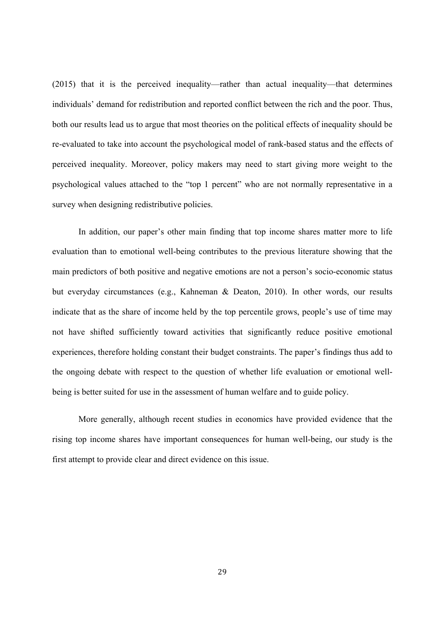(2015) that it is the perceived inequality—rather than actual inequality—that determines individuals' demand for redistribution and reported conflict between the rich and the poor. Thus, both our results lead us to argue that most theories on the political effects of inequality should be re-evaluated to take into account the psychological model of rank-based status and the effects of perceived inequality. Moreover, policy makers may need to start giving more weight to the psychological values attached to the "top 1 percent" who are not normally representative in a survey when designing redistributive policies.

In addition, our paper's other main finding that top income shares matter more to life evaluation than to emotional well-being contributes to the previous literature showing that the main predictors of both positive and negative emotions are not a person's socio-economic status but everyday circumstances (e.g., Kahneman & Deaton, 2010). In other words, our results indicate that as the share of income held by the top percentile grows, people's use of time may not have shifted sufficiently toward activities that significantly reduce positive emotional experiences, therefore holding constant their budget constraints. The paper's findings thus add to the ongoing debate with respect to the question of whether life evaluation or emotional wellbeing is better suited for use in the assessment of human welfare and to guide policy.

More generally, although recent studies in economics have provided evidence that the rising top income shares have important consequences for human well-being, our study is the first attempt to provide clear and direct evidence on this issue.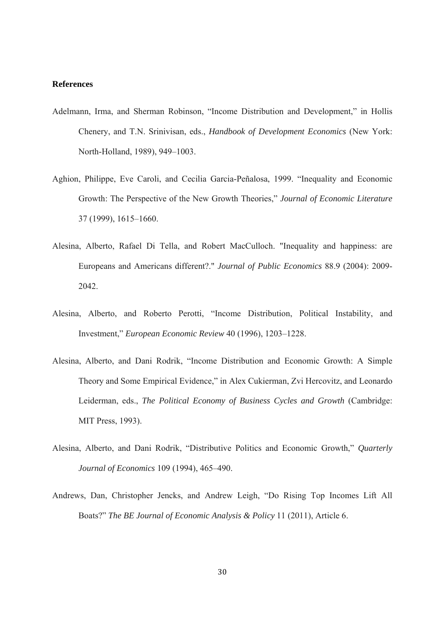#### **References**

- Adelmann, Irma, and Sherman Robinson, "Income Distribution and Development," in Hollis Chenery, and T.N. Srinivisan, eds., *Handbook of Development Economics* (New York: North-Holland, 1989), 949–1003.
- Aghion, Philippe, Eve Caroli, and Cecilia Garcia-Peñalosa, 1999. "Inequality and Economic Growth: The Perspective of the New Growth Theories," *Journal of Economic Literature*  37 (1999), 1615–1660.
- Alesina, Alberto, Rafael Di Tella, and Robert MacCulloch. "Inequality and happiness: are Europeans and Americans different?." *Journal of Public Economics* 88.9 (2004): 2009- 2042.
- Alesina, Alberto, and Roberto Perotti, "Income Distribution, Political Instability, and Investment," *European Economic Review* 40 (1996), 1203–1228.
- Alesina, Alberto, and Dani Rodrik, "Income Distribution and Economic Growth: A Simple Theory and Some Empirical Evidence," in Alex Cukierman, Zvi Hercovitz, and Leonardo Leiderman, eds., *The Political Economy of Business Cycles and Growth* (Cambridge: MIT Press, 1993).
- Alesina, Alberto, and Dani Rodrik, "Distributive Politics and Economic Growth," *Quarterly Journal of Economics* 109 (1994), 465–490.
- Andrews, Dan, Christopher Jencks, and Andrew Leigh, "Do Rising Top Incomes Lift All Boats?" *The BE Journal of Economic Analysis & Policy* 11 (2011), Article 6.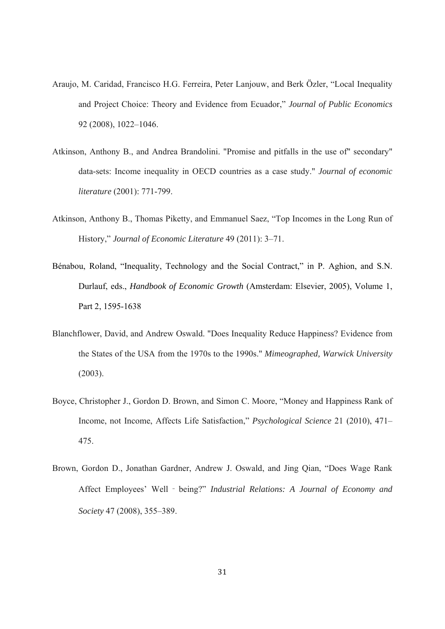- Araujo, M. Caridad, Francisco H.G. Ferreira, Peter Lanjouw, and Berk Özler, "Local Inequality and Project Choice: Theory and Evidence from Ecuador," *Journal of Public Economics* 92 (2008), 1022–1046.
- Atkinson, Anthony B., and Andrea Brandolini. "Promise and pitfalls in the use of" secondary" data-sets: Income inequality in OECD countries as a case study." *Journal of economic literature* (2001): 771-799.
- Atkinson, Anthony B., Thomas Piketty, and Emmanuel Saez, "Top Incomes in the Long Run of History," *Journal of Economic Literature* 49 (2011): 3–71.
- Bénabou, Roland, "Inequality, Technology and the Social Contract," in P. Aghion, and S.N. Durlauf, eds., *Handbook of Economic Growth* (Amsterdam: Elsevier, 2005), Volume 1, Part 2, 1595-1638
- Blanchflower, David, and Andrew Oswald. "Does Inequality Reduce Happiness? Evidence from the States of the USA from the 1970s to the 1990s." *Mimeographed, Warwick University* (2003).
- Boyce, Christopher J., Gordon D. Brown, and Simon C. Moore, "Money and Happiness Rank of Income, not Income, Affects Life Satisfaction," *Psychological Science* 21 (2010), 471– 475.
- Brown, Gordon D., Jonathan Gardner, Andrew J. Oswald, and Jing Qian, "Does Wage Rank Affect Employees' Well‐being?" *Industrial Relations: A Journal of Economy and Society* 47 (2008), 355–389.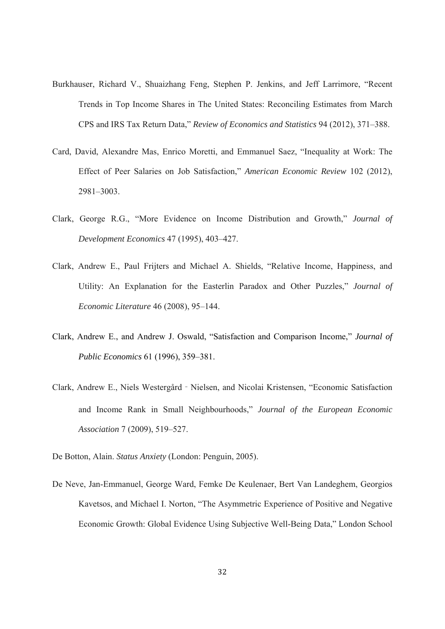- Burkhauser, Richard V., Shuaizhang Feng, Stephen P. Jenkins, and Jeff Larrimore, "Recent Trends in Top Income Shares in The United States: Reconciling Estimates from March CPS and IRS Tax Return Data," *Review of Economics and Statistics* 94 (2012), 371–388.
- Card, David, Alexandre Mas, Enrico Moretti, and Emmanuel Saez, "Inequality at Work: The Effect of Peer Salaries on Job Satisfaction," *American Economic Review* 102 (2012), 2981–3003.
- Clark, George R.G., "More Evidence on Income Distribution and Growth," *Journal of Development Economics* 47 (1995), 403–427.
- Clark, Andrew E., Paul Frijters and Michael A. Shields, "Relative Income, Happiness, and Utility: An Explanation for the Easterlin Paradox and Other Puzzles," *Journal of Economic Literature* 46 (2008), 95–144.
- Clark, Andrew E., and Andrew J. Oswald, "Satisfaction and Comparison Income," *Journal of Public Economics* 61 (1996), 359–381.
- Clark, Andrew E., Niels Westergård‐Nielsen, and Nicolai Kristensen, "Economic Satisfaction and Income Rank in Small Neighbourhoods," *Journal of the European Economic Association* 7 (2009), 519–527.
- De Botton, Alain. *Status Anxiety* (London: Penguin, 2005).
- De Neve, Jan-Emmanuel, George Ward, Femke De Keulenaer, Bert Van Landeghem, Georgios Kavetsos, and Michael I. Norton, "The Asymmetric Experience of Positive and Negative Economic Growth: Global Evidence Using Subjective Well-Being Data," London School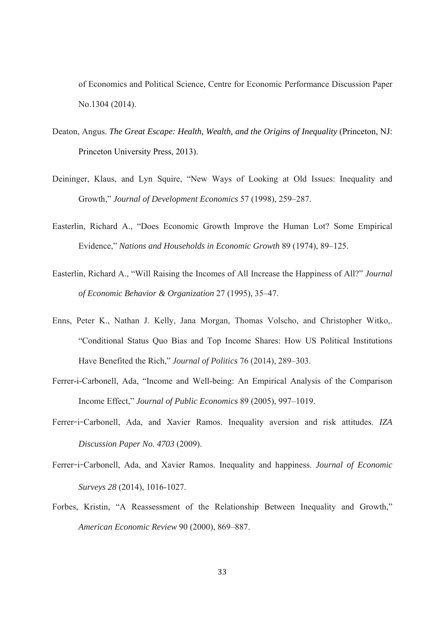of Economics and Political Science, Centre for Economic Performance Discussion Paper No.1304 (2014).

- Deaton, Angus. *The Great Escape: Health, Wealth, and the Origins of Inequality* (Princeton, NJ: Princeton University Press, 2013).
- Deininger, Klaus, and Lyn Squire, "New Ways of Looking at Old Issues: Inequality and Growth," *Journal of Development Economics* 57 (1998), 259–287.
- Easterlin, Richard A., "Does Economic Growth Improve the Human Lot? Some Empirical Evidence," *Nations and Households in Economic Growth* 89 (1974), 89–125.
- Easterlin, Richard A., "Will Raising the Incomes of All Increase the Happiness of All?" *Journal of Economic Behavior & Organization* 27 (1995), 35–47.
- Enns, Peter K., Nathan J. Kelly, Jana Morgan, Thomas Volscho, and Christopher Witko,. "Conditional Status Quo Bias and Top Income Shares: How US Political Institutions Have Benefited the Rich," *Journal of Politics* 76 (2014), 289–303.
- Ferrer-i-Carbonell, Ada, "Income and Well-being: An Empirical Analysis of the Comparison Income Effect," *Journal of Public Economics* 89 (2005), 997–1019.
- Ferrer-i-Carbonell, Ada, and Xavier Ramos. Inequality aversion and risk attitudes. *IZA Discussion Paper No. 4703* (2009).
- Ferrer-i-Carbonell, Ada, and Xavier Ramos. Inequality and happiness. *Journal of Economic Surveys 28* (2014), 1016-1027.
- Forbes, Kristin, "A Reassessment of the Relationship Between Inequality and Growth," *American Economic Review* 90 (2000), 869–887.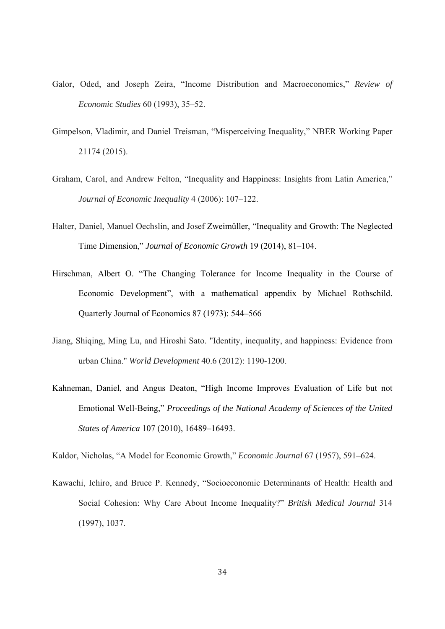- Galor, Oded, and Joseph Zeira, "Income Distribution and Macroeconomics," *Review of Economic Studies* 60 (1993), 35–52.
- Gimpelson, Vladimir, and Daniel Treisman, "Misperceiving Inequality," NBER Working Paper 21174 (2015).
- Graham, Carol, and Andrew Felton, "Inequality and Happiness: Insights from Latin America," *Journal of Economic Inequality* 4 (2006): 107–122.
- Halter, Daniel, Manuel Oechslin, and Josef Zweimüller, "Inequality and Growth: The Neglected Time Dimension," *Journal of Economic Growth* 19 (2014), 81–104.
- Hirschman, Albert O. "The Changing Tolerance for Income Inequality in the Course of Economic Development", with a mathematical appendix by Michael Rothschild. Quarterly Journal of Economics 87 (1973): 544–566
- Jiang, Shiqing, Ming Lu, and Hiroshi Sato. "Identity, inequality, and happiness: Evidence from urban China." *World Development* 40.6 (2012): 1190-1200.
- Kahneman, Daniel, and Angus Deaton, "High Income Improves Evaluation of Life but not Emotional Well-Being," *Proceedings of the National Academy of Sciences of the United States of America* 107 (2010), 16489–16493.

Kaldor, Nicholas, "A Model for Economic Growth," *Economic Journal* 67 (1957), 591–624.

Kawachi, Ichiro, and Bruce P. Kennedy, "Socioeconomic Determinants of Health: Health and Social Cohesion: Why Care About Income Inequality?" *British Medical Journal* 314 (1997), 1037.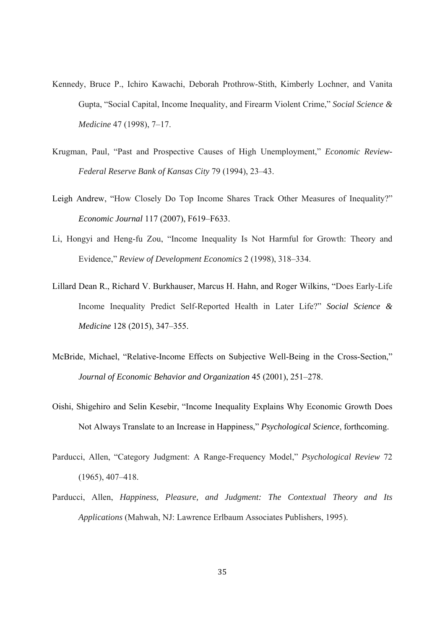- Kennedy, Bruce P., Ichiro Kawachi, Deborah Prothrow-Stith, Kimberly Lochner, and Vanita Gupta, "Social Capital, Income Inequality, and Firearm Violent Crime," *Social Science & Medicine* 47 (1998), 7–17.
- Krugman, Paul, "Past and Prospective Causes of High Unemployment," *Economic Review-Federal Reserve Bank of Kansas City* 79 (1994), 23–43.
- Leigh Andrew, "How Closely Do Top Income Shares Track Other Measures of Inequality?" *Economic Journal* 117 (2007), F619–F633.
- Li, Hongyi and Heng-fu Zou, "Income Inequality Is Not Harmful for Growth: Theory and Evidence," *Review of Development Economics* 2 (1998), 318–334.
- Lillard Dean R., Richard V. Burkhauser, Marcus H. Hahn, and Roger Wilkins, "Does Early-Life Income Inequality Predict Self-Reported Health in Later Life?" *Social Science & Medicine* 128 (2015), 347–355.
- McBride, Michael, "Relative-Income Effects on Subjective Well-Being in the Cross-Section," *Journal of Economic Behavior and Organization* 45 (2001), 251–278.
- Oishi, Shigehiro and Selin Kesebir, "Income Inequality Explains Why Economic Growth Does Not Always Translate to an Increase in Happiness," *Psychological Science*, forthcoming.
- Parducci, Allen, "Category Judgment: A Range-Frequency Model," *Psychological Review* 72 (1965), 407–418.
- Parducci, Allen, *Happiness, Pleasure, and Judgment: The Contextual Theory and Its Applications* (Mahwah, NJ: Lawrence Erlbaum Associates Publishers, 1995).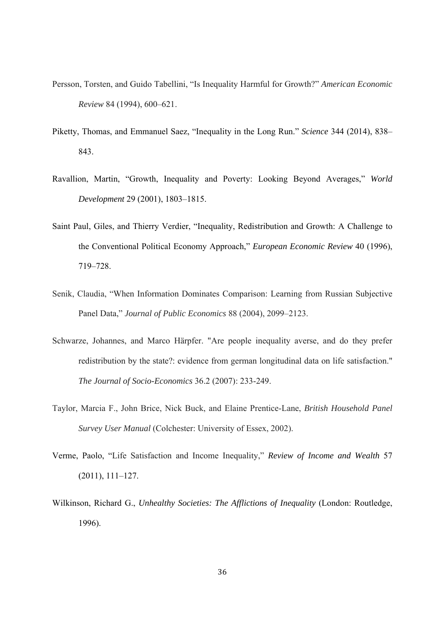- Persson, Torsten, and Guido Tabellini, "Is Inequality Harmful for Growth?" *American Economic Review* 84 (1994), 600–621.
- Piketty, Thomas, and Emmanuel Saez, "Inequality in the Long Run." *Science* 344 (2014), 838– 843.
- Ravallion, Martin, "Growth, Inequality and Poverty: Looking Beyond Averages," *World Development* 29 (2001), 1803–1815.
- Saint Paul, Giles, and Thierry Verdier, "Inequality, Redistribution and Growth: A Challenge to the Conventional Political Economy Approach," *European Economic Review* 40 (1996), 719–728.
- Senik, Claudia, "When Information Dominates Comparison: Learning from Russian Subjective Panel Data," *Journal of Public Economics* 88 (2004), 2099–2123.
- Schwarze, Johannes, and Marco Härpfer. "Are people inequality averse, and do they prefer redistribution by the state?: evidence from german longitudinal data on life satisfaction." *The Journal of Socio-Economics* 36.2 (2007): 233-249.
- Taylor, Marcia F., John Brice, Nick Buck, and Elaine Prentice-Lane, *British Household Panel Survey User Manual* (Colchester: University of Essex, 2002).
- Verme, Paolo, "Life Satisfaction and Income Inequality," *Review of Income and Wealth* 57 (2011), 111–127.
- Wilkinson, Richard G., *Unhealthy Societies: The Afflictions of Inequality* (London: Routledge, 1996).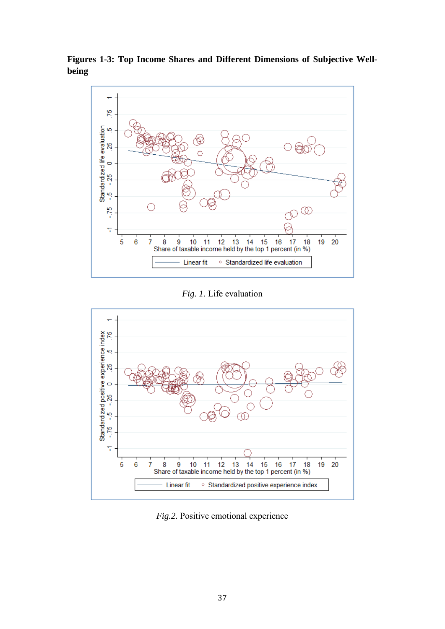**Figures 1-3: Top Income Shares and Different Dimensions of Subjective Wellbeing** 



*Fig. 1.* Life evaluation



*Fig.2.* Positive emotional experience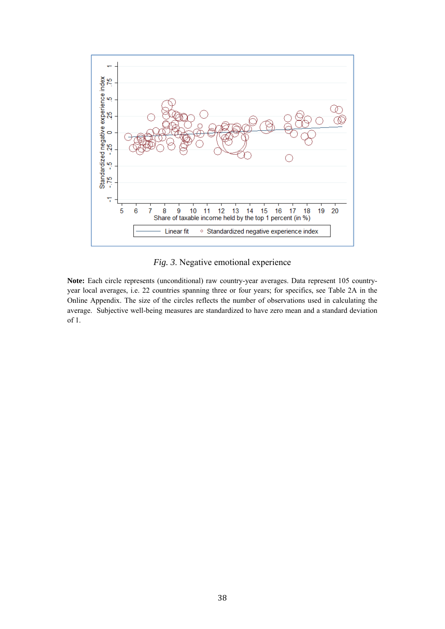

*Fig. 3*. Negative emotional experience

Note: Each circle represents (unconditional) raw country-year averages. Data represent 105 countryyear local averages, i.e. 22 countries spanning three or four years; for specifics, see Table 2A in the Online Appendix. The size of the circles reflects the number of observations used in calculating the average. Subjective well-being measures are standardized to have zero mean and a standard deviation of 1.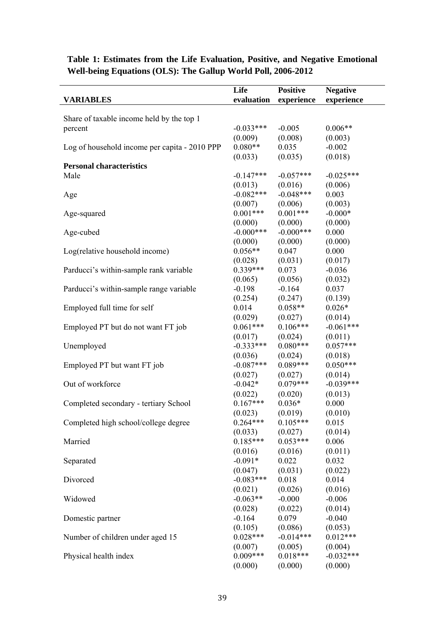| <b>VARIABLES</b>                                     | Life<br>evaluation    | <b>Positive</b><br>experience | <b>Negative</b><br>experience |
|------------------------------------------------------|-----------------------|-------------------------------|-------------------------------|
|                                                      |                       |                               |                               |
| Share of taxable income held by the top 1<br>percent | $-0.033***$           | $-0.005$                      | $0.006**$                     |
|                                                      | (0.009)               | (0.008)                       | (0.003)                       |
| Log of household income per capita - 2010 PPP        | $0.080**$             | 0.035                         | $-0.002$                      |
|                                                      | (0.033)               | (0.035)                       | (0.018)                       |
| <b>Personal characteristics</b>                      |                       |                               |                               |
| Male                                                 | $-0.147***$           | $-0.057***$                   | $-0.025***$                   |
|                                                      | (0.013)               | (0.016)                       | (0.006)                       |
| Age                                                  | $-0.082***$           | $-0.048***$                   | 0.003                         |
|                                                      | (0.007)               | (0.006)                       | (0.003)                       |
| Age-squared                                          | $0.001***$            | $0.001***$                    | $-0.000*$                     |
|                                                      | (0.000)               | (0.000)                       | (0.000)                       |
| Age-cubed                                            | $-0.000$ ***          | $-0.000***$                   | 0.000                         |
|                                                      | (0.000)               | (0.000)                       | (0.000)                       |
| Log(relative household income)                       | $0.056**$             | 0.047                         | 0.000                         |
|                                                      | (0.028)               | (0.031)                       | (0.017)                       |
| Parducci's within-sample rank variable               | $0.339***$            | 0.073                         | $-0.036$                      |
|                                                      | (0.065)               | (0.056)                       | (0.032)                       |
| Parducci's within-sample range variable              | $-0.198$              | $-0.164$                      | 0.037                         |
|                                                      | (0.254)               | (0.247)                       | (0.139)                       |
| Employed full time for self                          | 0.014                 | $0.058**$                     | $0.026*$                      |
|                                                      | (0.029)               | (0.027)                       | (0.014)                       |
| Employed PT but do not want FT job                   | $0.061***$            | $0.106***$                    | $-0.061***$                   |
|                                                      | (0.017)               | (0.024)                       | (0.011)                       |
| Unemployed                                           | $-0.333***$           | $0.080***$                    | $0.057***$                    |
|                                                      | (0.036)               | (0.024)                       | (0.018)                       |
| Employed PT but want FT job                          | $-0.087***$           | $0.089***$                    | $0.050***$                    |
|                                                      | (0.027)               | (0.027)                       | (0.014)                       |
| Out of workforce                                     | $-0.042*$             | $0.079***$                    | $-0.039***$                   |
|                                                      | (0.022)               | (0.020)                       | (0.013)                       |
| Completed secondary - tertiary School                | $0.167***$            | $0.036*$                      | 0.000                         |
|                                                      | (0.023)               | (0.019)                       | (0.010)                       |
| Completed high school/college degree                 | $0.264***$            | $0.105***$                    | 0.015                         |
|                                                      | (0.033)<br>$0.185***$ | (0.027)<br>$0.053***$         | (0.014)                       |
| Married                                              |                       |                               | 0.006                         |
|                                                      | (0.016)<br>$-0.091*$  | (0.016)<br>0.022              | (0.011)                       |
| Separated                                            | (0.047)               | (0.031)                       | 0.032                         |
| Divorced                                             | $-0.083***$           | 0.018                         | (0.022)<br>0.014              |
|                                                      | (0.021)               | (0.026)                       | (0.016)                       |
| Widowed                                              | $-0.063**$            | $-0.000$                      | $-0.006$                      |
|                                                      | (0.028)               | (0.022)                       | (0.014)                       |
| Domestic partner                                     | $-0.164$              | 0.079                         | $-0.040$                      |
|                                                      | (0.105)               | (0.086)                       | (0.053)                       |
| Number of children under aged 15                     | $0.028***$            | $-0.014***$                   | $0.012***$                    |
|                                                      | (0.007)               | (0.005)                       | (0.004)                       |
| Physical health index                                | $0.009***$            | $0.018***$                    | $-0.032***$                   |
|                                                      | (0.000)               | (0.000)                       | (0.000)                       |

### **Table 1: Estimates from the Life Evaluation, Positive, and Negative Emotional Well-being Equations (OLS): The Gallup World Poll, 2006-2012**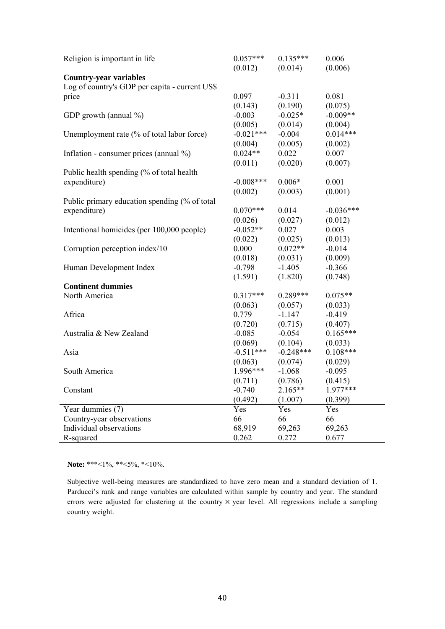| (0.012)<br>(0.006)<br>(0.014)<br><b>Country-year variables</b><br>Log of country's GDP per capita - current US\$<br>0.097<br>$-0.311$<br>0.081<br>price<br>(0.190)<br>(0.143)<br>(0.075)<br>$-0.025*$<br>$-0.009**$<br>GDP growth (annual %)<br>$-0.003$<br>(0.005)<br>(0.014)<br>(0.004) |
|-------------------------------------------------------------------------------------------------------------------------------------------------------------------------------------------------------------------------------------------------------------------------------------------|
|                                                                                                                                                                                                                                                                                           |
|                                                                                                                                                                                                                                                                                           |
|                                                                                                                                                                                                                                                                                           |
|                                                                                                                                                                                                                                                                                           |
|                                                                                                                                                                                                                                                                                           |
|                                                                                                                                                                                                                                                                                           |
|                                                                                                                                                                                                                                                                                           |
| $-0.021***$<br>$0.014***$<br>Unemployment rate (% of total labor force)<br>$-0.004$                                                                                                                                                                                                       |
| (0.004)<br>(0.005)<br>(0.002)                                                                                                                                                                                                                                                             |
| $0.024**$<br>0.022<br>0.007<br>Inflation - consumer prices (annual $\%$ )                                                                                                                                                                                                                 |
| (0.011)<br>(0.020)<br>(0.007)                                                                                                                                                                                                                                                             |
| Public health spending (% of total health                                                                                                                                                                                                                                                 |
| $-0.008***$<br>$0.006*$<br>0.001<br>expenditure)                                                                                                                                                                                                                                          |
| (0.002)<br>(0.003)<br>(0.001)                                                                                                                                                                                                                                                             |
| Public primary education spending (% of total                                                                                                                                                                                                                                             |
| $0.070***$<br>0.014<br>$-0.036***$<br>expenditure)                                                                                                                                                                                                                                        |
| (0.027)<br>(0.012)<br>(0.026)                                                                                                                                                                                                                                                             |
| $-0.052**$<br>Intentional homicides (per 100,000 people)<br>0.027<br>0.003                                                                                                                                                                                                                |
| (0.013)<br>(0.022)<br>(0.025)                                                                                                                                                                                                                                                             |
| $0.072**$<br>0.000<br>$-0.014$<br>Corruption perception index/10                                                                                                                                                                                                                          |
| (0.018)<br>(0.031)<br>(0.009)                                                                                                                                                                                                                                                             |
| Human Development Index<br>$-1.405$<br>$-0.366$<br>$-0.798$                                                                                                                                                                                                                               |
| (1.820)<br>(1.591)<br>(0.748)                                                                                                                                                                                                                                                             |
| <b>Continent dummies</b>                                                                                                                                                                                                                                                                  |
| $0.289***$<br>$0.317***$<br>North America<br>$0.075**$                                                                                                                                                                                                                                    |
| (0.063)<br>(0.057)<br>(0.033)                                                                                                                                                                                                                                                             |
| Africa<br>0.779<br>$-1.147$<br>$-0.419$                                                                                                                                                                                                                                                   |
| (0.720)<br>(0.715)<br>(0.407)                                                                                                                                                                                                                                                             |
| $-0.054$<br>$0.165***$<br>$-0.085$<br>Australia & New Zealand                                                                                                                                                                                                                             |
| (0.069)<br>(0.104)<br>(0.033)                                                                                                                                                                                                                                                             |
| $-0.248***$<br>$0.108***$<br>$-0.511***$<br>Asia                                                                                                                                                                                                                                          |
| (0.063)<br>(0.074)<br>(0.029)                                                                                                                                                                                                                                                             |
| $1.996***$<br>South America<br>$-1.068$<br>$-0.095$                                                                                                                                                                                                                                       |
| (0.711)<br>(0.786)<br>(0.415)                                                                                                                                                                                                                                                             |
| Constant<br>$-0.740$<br>$2.165**$<br>1.977***                                                                                                                                                                                                                                             |
| (0.492)<br>(1.007)<br>(0.399)                                                                                                                                                                                                                                                             |
| Year dummies (7)<br>Yes<br>Yes<br>Yes                                                                                                                                                                                                                                                     |
| Country-year observations<br>66<br>66<br>66                                                                                                                                                                                                                                               |
| Individual observations<br>68,919<br>69,263<br>69,263                                                                                                                                                                                                                                     |
| 0.262<br>R-squared<br>0.272<br>0.677                                                                                                                                                                                                                                                      |

**Note:** \*\*\*<1%, \*\*<5%, \*<10%.

Subjective well-being measures are standardized to have zero mean and a standard deviation of 1. Parducci's rank and range variables are calculated within sample by country and year. The standard errors were adjusted for clustering at the country  $\times$  year level. All regressions include a sampling country weight.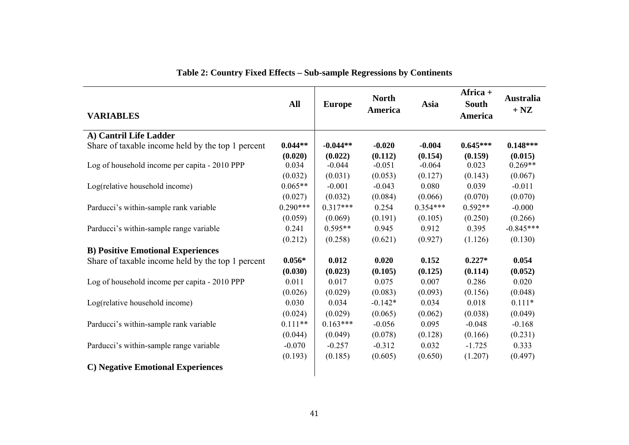| <b>VARIABLES</b>                                  | <b>All</b> | <b>Europe</b> | <b>North</b><br>America | Asia       | Africa $+$<br><b>South</b><br>America | <b>Australia</b><br>$+$ NZ |
|---------------------------------------------------|------------|---------------|-------------------------|------------|---------------------------------------|----------------------------|
| A) Cantril Life Ladder                            |            |               |                         |            |                                       |                            |
| Share of taxable income held by the top 1 percent | $0.044**$  | $-0.044**$    | $-0.020$                | $-0.004$   | $0.645***$                            | $0.148***$                 |
|                                                   | (0.020)    | (0.022)       | (0.112)                 | (0.154)    | (0.159)                               | (0.015)                    |
| Log of household income per capita - 2010 PPP     | 0.034      | $-0.044$      | $-0.051$                | $-0.064$   | 0.023                                 | $0.269**$                  |
|                                                   | (0.032)    | (0.031)       | (0.053)                 | (0.127)    | (0.143)                               | (0.067)                    |
| Log(relative household income)                    | $0.065**$  | $-0.001$      | $-0.043$                | 0.080      | 0.039                                 | $-0.011$                   |
|                                                   | (0.027)    | (0.032)       | (0.084)                 | (0.066)    | (0.070)                               | (0.070)                    |
| Parducci's within-sample rank variable            | $0.290***$ | $0.317***$    | 0.254                   | $0.354***$ | $0.592**$                             | $-0.000$                   |
|                                                   | (0.059)    | (0.069)       | (0.191)                 | (0.105)    | (0.250)                               | (0.266)                    |
| Parducci's within-sample range variable           | 0.241      | $0.595**$     | 0.945                   | 0.912      | 0.395                                 | $-0.845***$                |
|                                                   | (0.212)    | (0.258)       | (0.621)                 | (0.927)    | (1.126)                               | (0.130)                    |
| <b>B) Positive Emotional Experiences</b>          |            |               |                         |            |                                       |                            |
| Share of taxable income held by the top 1 percent | $0.056*$   | 0.012         | 0.020                   | 0.152      | $0.227*$                              | 0.054                      |
|                                                   | (0.030)    | (0.023)       | (0.105)                 | (0.125)    | (0.114)                               | (0.052)                    |
| Log of household income per capita - 2010 PPP     | 0.011      | 0.017         | 0.075                   | 0.007      | 0.286                                 | 0.020                      |
|                                                   | (0.026)    | (0.029)       | (0.083)                 | (0.093)    | (0.156)                               | (0.048)                    |
| Log(relative household income)                    | 0.030      | 0.034         | $-0.142*$               | 0.034      | 0.018                                 | $0.111*$                   |
|                                                   | (0.024)    | (0.029)       | (0.065)                 | (0.062)    | (0.038)                               | (0.049)                    |
| Parducci's within-sample rank variable            | $0.111**$  | $0.163***$    | $-0.056$                | 0.095      | $-0.048$                              | $-0.168$                   |
|                                                   | (0.044)    | (0.049)       | (0.078)                 | (0.128)    | (0.166)                               | (0.231)                    |
| Parducci's within-sample range variable           | $-0.070$   | $-0.257$      | $-0.312$                | 0.032      | $-1.725$                              | 0.333                      |
|                                                   | (0.193)    | (0.185)       | (0.605)                 | (0.650)    | (1.207)                               | (0.497)                    |
| <b>C)</b> Negative Emotional Experiences          |            |               |                         |            |                                       |                            |

**Table 2: Country Fixed Effects – Sub-sample Regressions by Continents**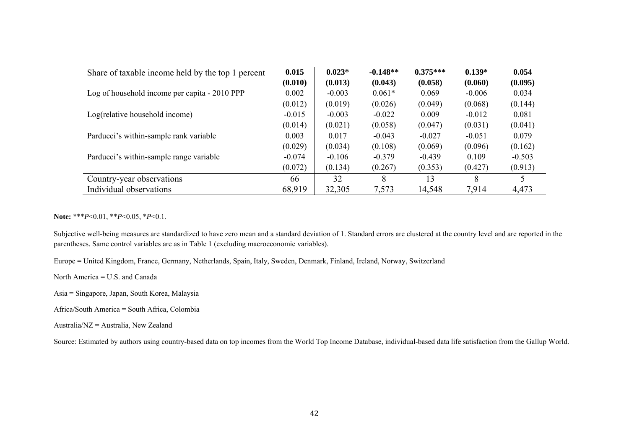| Share of taxable income held by the top 1 percent | 0.015    | $0.023*$ | $-0.148**$ | $0.375***$ | $0.139*$ | 0.054    |
|---------------------------------------------------|----------|----------|------------|------------|----------|----------|
|                                                   | (0.010)  | (0.013)  | (0.043)    | (0.058)    | (0.060)  | (0.095)  |
| Log of household income per capita - 2010 PPP     | 0.002    | $-0.003$ | $0.061*$   | 0.069      | $-0.006$ | 0.034    |
|                                                   | (0.012)  | (0.019)  | (0.026)    | (0.049)    | (0.068)  | (0.144)  |
| Log(relative household income)                    | $-0.015$ | $-0.003$ | $-0.022$   | 0.009      | $-0.012$ | 0.081    |
|                                                   | (0.014)  | (0.021)  | (0.058)    | (0.047)    | (0.031)  | (0.041)  |
| Parducci's within-sample rank variable            | 0.003    | 0.017    | $-0.043$   | $-0.027$   | $-0.051$ | 0.079    |
|                                                   | (0.029)  | (0.034)  | (0.108)    | (0.069)    | (0.096)  | (0.162)  |
| Parducci's within-sample range variable           | $-0.074$ | $-0.106$ | $-0.379$   | $-0.439$   | 0.109    | $-0.503$ |
|                                                   | (0.072)  | (0.134)  | (0.267)    | (0.353)    | (0.427)  | (0.913)  |
| Country-year observations                         | 66       | 32       | 8          | 13         | 8        |          |
| Individual observations                           | 68,919   | 32,305   | 7,573      | 14,548     | 7,914    | 4,473    |

**Note:** \*\*\**P*<0.01, \*\**P*<0.05, \**P*<0.1.

Subjective well-being measures are standardized to have zero mean and a standard deviation of 1. Standard errors are clustered at the country level and are reported in the parentheses. Same control variables are as in Table 1 (excluding macroeconomic variables).

Europe = United Kingdom, France, Germany, Netherlands, Spain, Italy, Sweden, Denmark, Finland, Ireland, Norway, Switzerland

North America = U.S. and Canada

Asia = Singapore, Japan, South Korea, Malaysia

Africa/South America = South Africa, Colombia

Australia/NZ = Australia, New Zealand

Source: Estimated by authors using country-based data on top incomes from the World Top Income Database, individual-based data life satisfaction from the Gallup World.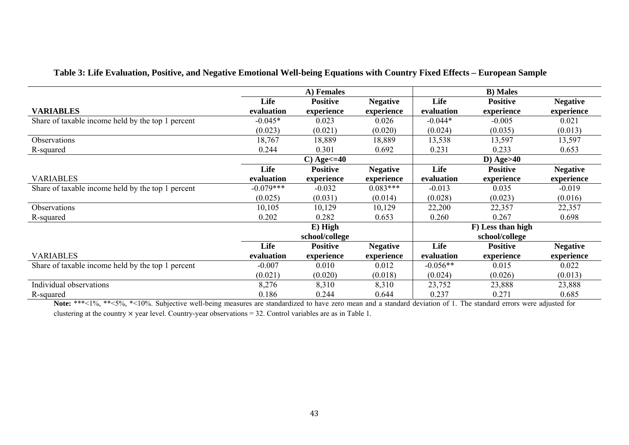| Table 3: Life Evaluation, Positive, and Negative Emotional Well-being Equations with Country Fixed Effects - European Sample |  |  |
|------------------------------------------------------------------------------------------------------------------------------|--|--|
|                                                                                                                              |  |  |

|                                                   |             | A) Females          |                 |              |                   |                 |  |
|---------------------------------------------------|-------------|---------------------|-----------------|--------------|-------------------|-----------------|--|
|                                                   | Life        | <b>Positive</b>     | <b>Negative</b> | Life         | <b>Positive</b>   | <b>Negative</b> |  |
| <b>VARIABLES</b>                                  | evaluation  | experience          | experience      | evaluation   | experience        | experience      |  |
| Share of taxable income held by the top 1 percent | $-0.045*$   | 0.023               | 0.026           | $-0.044*$    | $-0.005$          | 0.021           |  |
|                                                   | (0.023)     | (0.021)             | (0.020)         | (0.024)      | (0.035)           | (0.013)         |  |
| Observations                                      | 18,767      | 18,889              | 18,889          | 13,538       | 13,597            | 13,597          |  |
| R-squared                                         | 0.244       | 0.301               | 0.692           | 0.231        | 0.233             | 0.653           |  |
|                                                   |             | $C)$ Age $\leq$ =40 |                 | D) Age $>40$ |                   |                 |  |
|                                                   | Life        | <b>Positive</b>     | <b>Negative</b> | Life         | <b>Positive</b>   | <b>Negative</b> |  |
| <b>VARIABLES</b>                                  | evaluation  | experience          | experience      | evaluation   | experience        | experience      |  |
| Share of taxable income held by the top 1 percent | $-0.079***$ | $-0.032$            | $0.083***$      | $-0.013$     | 0.035             | $-0.019$        |  |
|                                                   | (0.025)     | (0.031)             | (0.014)         | (0.028)      | (0.023)           | (0.016)         |  |
| Observations                                      | 10,105      | 10,129              | 10,129          | 22,200       | 22,357            | 22,357          |  |
| R-squared                                         | 0.202       | 0.282               | 0.653           | 0.260        | 0.267             | 0.698           |  |
|                                                   |             | $E)$ High           |                 |              | F) Less than high |                 |  |
|                                                   |             | school/college      |                 |              | school/college    |                 |  |
|                                                   | Life        | <b>Positive</b>     | <b>Negative</b> | Life         | <b>Positive</b>   | <b>Negative</b> |  |
| <b>VARIABLES</b>                                  | evaluation  | experience          | experience      | evaluation   | experience        | experience      |  |
| Share of taxable income held by the top 1 percent | $-0.007$    | 0.010               | 0.012           | $-0.056**$   | 0.015             | 0.022           |  |
|                                                   | (0.021)     | (0.020)             | (0.018)         | (0.024)      | (0.026)           | (0.013)         |  |
| Individual observations                           | 8,276       | 8,310               | 8,310           | 23,752       | 23,888            | 23,888          |  |
| R-squared                                         | 0.186       | 0.244               | 0.644           | 0.237        | 0.271             | 0.685           |  |

Note: \*\*\*<1%, \*\*<5%, \*<10%. Subjective well-being measures are standardized to have zero mean and a standard deviation of 1. The standard errors were adjusted for clustering at the country  $\times$  year level. Country-year observations = 32. Control variables are as in Table 1.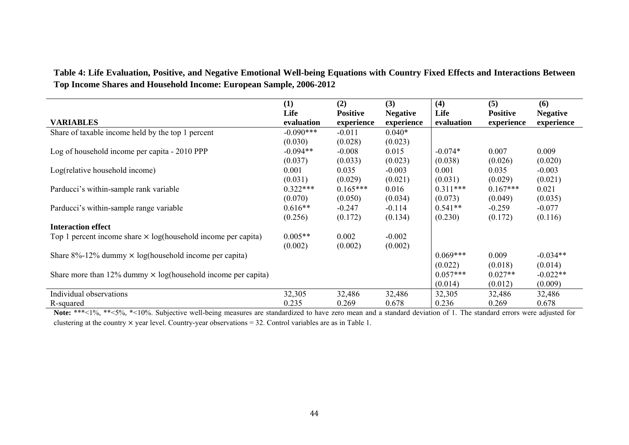**Table 4: Life Evaluation, Positive, and Negative Emotional Well-being Equations with Country Fixed Effects and Interactions Between Top Income Shares and Household Income: European Sample, 2006-2012**

|                                                                      | (1)         | (2)             | (3)             | (4)        | (5)             | (6)             |
|----------------------------------------------------------------------|-------------|-----------------|-----------------|------------|-----------------|-----------------|
|                                                                      | Life        | <b>Positive</b> | <b>Negative</b> | Life       | <b>Positive</b> | <b>Negative</b> |
| <b>VARIABLES</b>                                                     | evaluation  | experience      | experience      | evaluation | experience      | experience      |
| Share of taxable income held by the top 1 percent                    | $-0.090***$ | $-0.011$        | $0.040*$        |            |                 |                 |
|                                                                      | (0.030)     | (0.028)         | (0.023)         |            |                 |                 |
| Log of household income per capita - 2010 PPP                        | $-0.094**$  | $-0.008$        | 0.015           | $-0.074*$  | 0.007           | 0.009           |
|                                                                      | (0.037)     | (0.033)         | (0.023)         | (0.038)    | (0.026)         | (0.020)         |
| Log(relative household income)                                       | 0.001       | 0.035           | $-0.003$        | 0.001      | 0.035           | $-0.003$        |
|                                                                      | (0.031)     | (0.029)         | (0.021)         | (0.031)    | (0.029)         | (0.021)         |
| Parducci's within-sample rank variable                               | $0.322***$  | $0.165***$      | 0.016           | $0.311***$ | $0.167***$      | 0.021           |
|                                                                      | (0.070)     | (0.050)         | (0.034)         | (0.073)    | (0.049)         | (0.035)         |
| Parducci's within-sample range variable                              | $0.616**$   | $-0.247$        | $-0.114$        | $0.541**$  | $-0.259$        | $-0.077$        |
|                                                                      | (0.256)     | (0.172)         | (0.134)         | (0.230)    | (0.172)         | (0.116)         |
| <b>Interaction effect</b>                                            |             |                 |                 |            |                 |                 |
| Top 1 percent income share $\times$ log(household income per capita) | $0.005**$   | 0.002           | $-0.002$        |            |                 |                 |
|                                                                      | (0.002)     | (0.002)         | (0.002)         |            |                 |                 |
| Share $8\%$ -12% dummy $\times$ log(household income per capita)     |             |                 |                 | $0.069***$ | 0.009           | $-0.034**$      |
|                                                                      |             |                 |                 | (0.022)    | (0.018)         | (0.014)         |
| Share more than 12% dummy $\times$ log(household income per capita)  |             |                 |                 | $0.057***$ | $0.027**$       | $-0.022**$      |
|                                                                      |             |                 |                 | (0.014)    | (0.012)         | (0.009)         |
| Individual observations                                              | 32,305      | 32,486          | 32,486          | 32,305     | 32,486          | 32,486          |
| R-squared                                                            | 0.235       | 0.269           | 0.678           | 0.236      | 0.269           | 0.678           |

Note: \*\*\*<1%, \*\*<5%, \*<10%. Subjective well-being measures are standardized to have zero mean and a standard deviation of 1. The standard errors were adjusted for clustering at the country  $\times$  year level. Country-year observations = 32. Control variables are as in Table 1.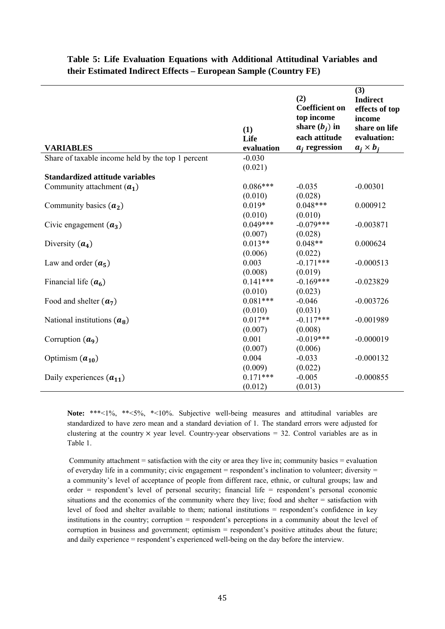| <b>VARIABLES</b>                                  | (1)<br>Life<br>evaluation | (2)<br><b>Coefficient on</b><br>top income<br>share $(b_i)$ in<br>each attitude<br>$a_i$ regression | (3)<br><b>Indirect</b><br>effects of top<br>income<br>share on life<br>evaluation:<br>$a_i \times b_i$ |
|---------------------------------------------------|---------------------------|-----------------------------------------------------------------------------------------------------|--------------------------------------------------------------------------------------------------------|
| Share of taxable income held by the top 1 percent | $-0.030$                  |                                                                                                     |                                                                                                        |
|                                                   | (0.021)                   |                                                                                                     |                                                                                                        |
| <b>Standardized attitude variables</b>            |                           |                                                                                                     |                                                                                                        |
| Community attachment $(a_1)$                      | $0.086***$                | $-0.035$                                                                                            | $-0.00301$                                                                                             |
|                                                   | (0.010)                   | (0.028)                                                                                             |                                                                                                        |
| Community basics $(a_2)$                          | $0.019*$                  | $0.048***$                                                                                          | 0.000912                                                                                               |
|                                                   | (0.010)                   | (0.010)                                                                                             |                                                                                                        |
| Civic engagement $(a_3)$                          | $0.049***$                | $-0.079***$                                                                                         | $-0.003871$                                                                                            |
|                                                   | (0.007)                   | (0.028)                                                                                             |                                                                                                        |
| Diversity $(a_4)$                                 | $0.013**$                 | $0.048**$                                                                                           | 0.000624                                                                                               |
|                                                   | (0.006)                   | (0.022)                                                                                             |                                                                                                        |
| Law and order $(a_5)$                             | 0.003                     | $-0.171***$                                                                                         | $-0.000513$                                                                                            |
|                                                   | (0.008)                   | (0.019)                                                                                             |                                                                                                        |
| Financial life $(a6)$                             | $0.141***$                | $-0.169***$                                                                                         | $-0.023829$                                                                                            |
|                                                   | (0.010)                   | (0.023)                                                                                             |                                                                                                        |
| Food and shelter $(a_7)$                          | $0.081***$                | $-0.046$                                                                                            | $-0.003726$                                                                                            |
|                                                   | (0.010)                   | (0.031)                                                                                             |                                                                                                        |
| National institutions $(a_8)$                     | $0.017**$                 | $-0.117***$                                                                                         | $-0.001989$                                                                                            |
|                                                   | (0.007)                   | (0.008)                                                                                             |                                                                                                        |
| Corruption $(a9)$                                 | 0.001                     | $-0.019***$                                                                                         | $-0.000019$                                                                                            |
|                                                   | (0.007)                   | (0.006)                                                                                             |                                                                                                        |
| Optimism $(a_{10})$                               | 0.004                     | $-0.033$                                                                                            | $-0.000132$                                                                                            |
|                                                   | (0.009)                   | (0.022)                                                                                             |                                                                                                        |
| Daily experiences $(a_{11})$                      | $0.171***$                | $-0.005$                                                                                            | $-0.000855$                                                                                            |
|                                                   | (0.012)                   | (0.013)                                                                                             |                                                                                                        |

#### **Table 5: Life Evaluation Equations with Additional Attitudinal Variables and their Estimated Indirect Effects – European Sample (Country FE)**

**Note:** \*\*\*<1%, \*\*<5%, \*<10%. Subjective well-being measures and attitudinal variables are standardized to have zero mean and a standard deviation of 1. The standard errors were adjusted for clustering at the country  $\times$  year level. Country-year observations = 32. Control variables are as in Table 1.

 Community attachment = satisfaction with the city or area they live in; community basics = evaluation of everyday life in a community; civic engagement = respondent's inclination to volunteer; diversity = a community's level of acceptance of people from different race, ethnic, or cultural groups; law and order = respondent's level of personal security; financial life = respondent's personal economic situations and the economics of the community where they live; food and shelter = satisfaction with level of food and shelter available to them; national institutions = respondent's confidence in key institutions in the country; corruption = respondent's perceptions in a community about the level of corruption in business and government; optimism = respondent's positive attitudes about the future; and daily experience = respondent's experienced well-being on the day before the interview.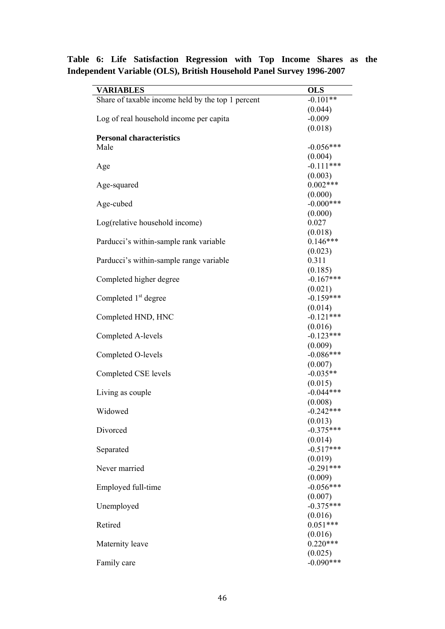| <b>VARIABLES</b>                                  | <b>OLS</b>             |
|---------------------------------------------------|------------------------|
| Share of taxable income held by the top 1 percent | $-0.101**$             |
|                                                   | (0.044)                |
| Log of real household income per capita           | $-0.009$               |
|                                                   | (0.018)                |
| <b>Personal characteristics</b>                   |                        |
| Male                                              | $-0.056***$            |
|                                                   | (0.004)<br>$-0.111***$ |
| Age                                               | (0.003)                |
| Age-squared                                       | $0.002***$             |
|                                                   | (0.000)                |
| Age-cubed                                         | $-0.000***$            |
|                                                   | (0.000)                |
| Log(relative household income)                    | 0.027                  |
|                                                   | (0.018)                |
| Parducci's within-sample rank variable            | $0.146***$             |
|                                                   | (0.023)                |
| Parducci's within-sample range variable           | 0.311                  |
|                                                   | (0.185)                |
| Completed higher degree                           | $-0.167***$            |
|                                                   | (0.021)                |
| Completed 1 <sup>st</sup> degree                  | $-0.159***$            |
|                                                   | (0.014)                |
| Completed HND, HNC                                | $-0.121***$            |
| Completed A-levels                                | (0.016)<br>$-0.123***$ |
|                                                   | (0.009)                |
| Completed O-levels                                | $-0.086***$            |
|                                                   | (0.007)                |
| Completed CSE levels                              | $-0.035**$             |
|                                                   | (0.015)                |
| Living as couple                                  | $-0.044***$            |
|                                                   | (0.008)                |
| Widowed                                           | $-0.242***$            |
|                                                   | (0.013)                |
| Divorced                                          | $-0.375***$<br>(0.014) |
| Separated                                         | $-0.517***$            |
|                                                   | (0.019)                |
| Never married                                     | $-0.291***$            |
|                                                   | (0.009)                |
| Employed full-time                                | $-0.056***$            |
|                                                   | (0.007)                |
| Unemployed                                        | $-0.375***$            |
|                                                   | (0.016)                |
| Retired                                           | $0.051***$             |
|                                                   | (0.016)                |
| Maternity leave                                   | $0.220***$             |
|                                                   | (0.025)<br>$-0.090***$ |
| Family care                                       |                        |

**Table 6: Life Satisfaction Regression with Top Income Shares as the Independent Variable (OLS), British Household Panel Survey 1996-2007**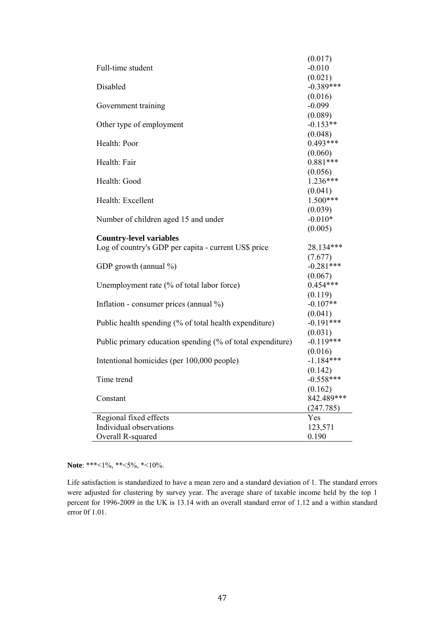|                                                            | (0.017)     |
|------------------------------------------------------------|-------------|
| Full-time student                                          | $-0.010$    |
|                                                            | (0.021)     |
| Disabled                                                   | $-0.389***$ |
|                                                            | (0.016)     |
| Government training                                        | $-0.099$    |
|                                                            | (0.089)     |
| Other type of employment                                   | $-0.153**$  |
|                                                            | (0.048)     |
| Health: Poor                                               | $0.493***$  |
|                                                            | (0.060)     |
| Health: Fair                                               | $0.881***$  |
|                                                            | (0.056)     |
| Health: Good                                               | $1.236***$  |
|                                                            | (0.041)     |
| Health: Excellent                                          | $1.500***$  |
|                                                            | (0.039)     |
| Number of children aged 15 and under                       | $-0.010*$   |
|                                                            | (0.005)     |
| <b>Country-level variables</b>                             |             |
| Log of country's GDP per capita - current US\$ price       | 28.134***   |
|                                                            | (7.677)     |
| GDP growth (annual %)                                      | $-0.281***$ |
|                                                            | (0.067)     |
| Unemployment rate (% of total labor force)                 | $0.454***$  |
|                                                            | (0.119)     |
| Inflation - consumer prices (annual $\%$ )                 | $-0.107**$  |
|                                                            | (0.041)     |
| Public health spending (% of total health expenditure)     | $-0.191***$ |
|                                                            | (0.031)     |
| Public primary education spending (% of total expenditure) | $-0.119***$ |
|                                                            | (0.016)     |
| Intentional homicides (per 100,000 people)                 | $-1.184***$ |
|                                                            | (0.142)     |
| Time trend                                                 | $-0.558***$ |
|                                                            | (0.162)     |
| Constant                                                   | 842.489***  |
|                                                            | (247.785)   |
| Regional fixed effects                                     | Yes         |
| Individual observations                                    | 123,571     |
| Overall R-squared                                          | 0.190       |

**Note**: \*\*\*<1%, \*\*<5%, \*<10%.

Life satisfaction is standardized to have a mean zero and a standard deviation of 1. The standard errors were adjusted for clustering by survey year. The average share of taxable income held by the top 1 percent for 1996-2009 in the UK is 13.14 with an overall standard error of 1.12 and a within standard error 0f 1.01.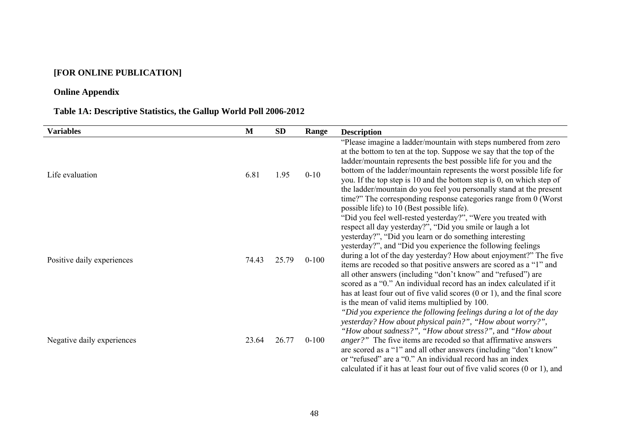### **[FOR ONLINE PUBLICATION]**

### **Online Appendix**

# **Table 1A: Descriptive Statistics, the Gallup World Poll 2006-2012**

| <b>Variables</b>           | M     | <b>SD</b> | Range     | <b>Description</b>                                                                                                                                                                                                                                                                                                                                                                                                                                                                                                                                                                                                                                                               |
|----------------------------|-------|-----------|-----------|----------------------------------------------------------------------------------------------------------------------------------------------------------------------------------------------------------------------------------------------------------------------------------------------------------------------------------------------------------------------------------------------------------------------------------------------------------------------------------------------------------------------------------------------------------------------------------------------------------------------------------------------------------------------------------|
| Life evaluation            | 6.81  | 1.95      | $0 - 10$  | "Please imagine a ladder/mountain with steps numbered from zero<br>at the bottom to ten at the top. Suppose we say that the top of the<br>ladder/mountain represents the best possible life for you and the<br>bottom of the ladder/mountain represents the worst possible life for<br>you. If the top step is 10 and the bottom step is 0, on which step of<br>the ladder/mountain do you feel you personally stand at the present<br>time?" The corresponding response categories range from 0 (Worst)<br>possible life) to 10 (Best possible life).                                                                                                                           |
| Positive daily experiences | 74.43 | 25.79     | $0 - 100$ | "Did you feel well-rested yesterday?", "Were you treated with<br>respect all day yesterday?", "Did you smile or laugh a lot<br>yesterday?", "Did you learn or do something interesting<br>yesterday?", and "Did you experience the following feelings<br>during a lot of the day yesterday? How about enjoyment?" The five<br>items are recoded so that positive answers are scored as a "1" and<br>all other answers (including "don't know" and "refused") are<br>scored as a "0." An individual record has an index calculated if it<br>has at least four out of five valid scores $(0 \text{ or } 1)$ , and the final score<br>is the mean of valid items multiplied by 100. |
| Negative daily experiences | 23.64 | 26.77     | $0 - 100$ | "Did you experience the following feelings during a lot of the day<br>yesterday? How about physical pain?", "How about worry?",<br>"How about sadness?", "How about stress?", and "How about<br><i>anger?</i> " The five items are recoded so that affirmative answers<br>are scored as a "1" and all other answers (including "don't know"<br>or "refused" are a "0." An individual record has an index<br>calculated if it has at least four out of five valid scores $(0 \text{ or } 1)$ , and                                                                                                                                                                                |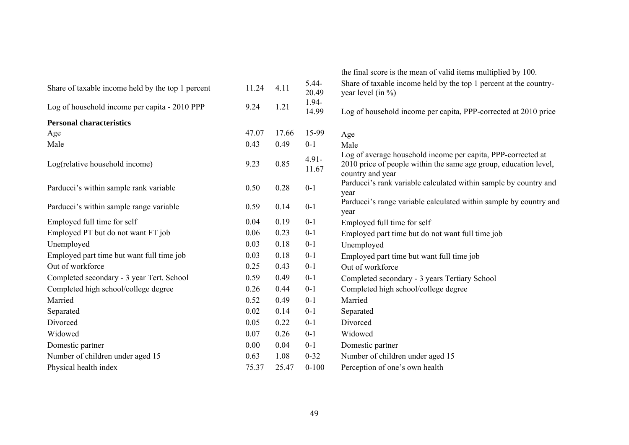|       |       |                   | the final score is the mean of valid items multiplied by 100.                                                                                        |
|-------|-------|-------------------|------------------------------------------------------------------------------------------------------------------------------------------------------|
| 11.24 | 4.11  | $5.44-$<br>20.49  | Share of taxable income held by the top 1 percent at the country-<br>year level (in $\%$ )                                                           |
| 9.24  | 1.21  | 1.94-<br>14.99    | Log of household income per capita, PPP-corrected at 2010 price                                                                                      |
|       |       |                   |                                                                                                                                                      |
| 47.07 | 17.66 | 15-99             | Age                                                                                                                                                  |
| 0.43  | 0.49  | $0 - 1$           | Male                                                                                                                                                 |
| 9.23  | 0.85  | $4.91 -$<br>11.67 | Log of average household income per capita, PPP-corrected at<br>2010 price of people within the same age group, education level,<br>country and year |
| 0.50  | 0.28  | $0 - 1$           | Parducci's rank variable calculated within sample by country and<br>year                                                                             |
| 0.59  | 0.14  | $0 - 1$           | Parducci's range variable calculated within sample by country and<br>year                                                                            |
| 0.04  | 0.19  | $0 - 1$           | Employed full time for self                                                                                                                          |
| 0.06  | 0.23  | $0 - 1$           | Employed part time but do not want full time job                                                                                                     |
| 0.03  | 0.18  | $0 - 1$           | Unemployed                                                                                                                                           |
| 0.03  | 0.18  | $0 - 1$           | Employed part time but want full time job                                                                                                            |
| 0.25  | 0.43  | $0 - 1$           | Out of workforce                                                                                                                                     |
| 0.59  | 0.49  | $0 - 1$           | Completed secondary - 3 years Tertiary School                                                                                                        |
| 0.26  | 0.44  | $0 - 1$           | Completed high school/college degree                                                                                                                 |
| 0.52  | 0.49  | $0 - 1$           | Married                                                                                                                                              |
| 0.02  | 0.14  | $0 - 1$           | Separated                                                                                                                                            |
| 0.05  | 0.22  | $0 - 1$           | Divorced                                                                                                                                             |
| 0.07  | 0.26  | $0 - 1$           | Widowed                                                                                                                                              |
| 0.00  | 0.04  | $0 - 1$           | Domestic partner                                                                                                                                     |
| 0.63  | 1.08  | $0 - 32$          | Number of children under aged 15                                                                                                                     |
| 75.37 | 25.47 | $0 - 100$         | Perception of one's own health                                                                                                                       |
|       |       |                   |                                                                                                                                                      |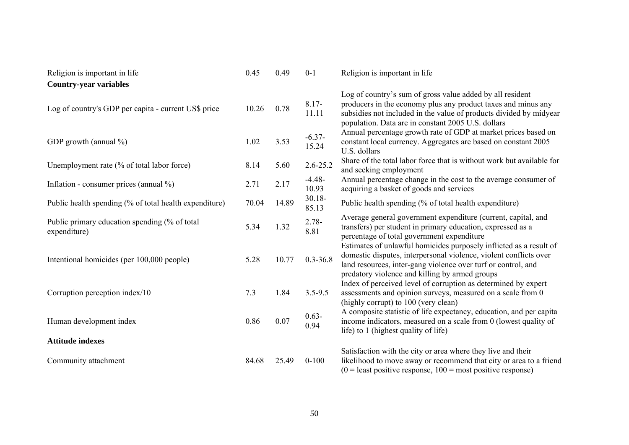| Religion is important in life                                  | 0.45  | 0.49  | $0 - 1$            | Religion is important in life                                                                                                                                                                                                                                                                                                |
|----------------------------------------------------------------|-------|-------|--------------------|------------------------------------------------------------------------------------------------------------------------------------------------------------------------------------------------------------------------------------------------------------------------------------------------------------------------------|
| <b>Country-year variables</b>                                  |       |       |                    |                                                                                                                                                                                                                                                                                                                              |
| Log of country's GDP per capita - current US\$ price           | 10.26 | 0.78  | $8.17 -$<br>11.11  | Log of country's sum of gross value added by all resident<br>producers in the economy plus any product taxes and minus any<br>subsidies not included in the value of products divided by midyear<br>population. Data are in constant 2005 U.S. dollars                                                                       |
| GDP growth (annual %)                                          | 1.02  | 3.53  | $-6.37-$<br>15.24  | Annual percentage growth rate of GDP at market prices based on<br>constant local currency. Aggregates are based on constant 2005<br>U.S. dollars                                                                                                                                                                             |
| Unemployment rate (% of total labor force)                     | 8.14  | 5.60  | $2.6 - 25.2$       | Share of the total labor force that is without work but available for<br>and seeking employment                                                                                                                                                                                                                              |
| Inflation - consumer prices (annual $\%$ )                     | 2.71  | 2.17  | $-4.48-$<br>10.93  | Annual percentage change in the cost to the average consumer of<br>acquiring a basket of goods and services                                                                                                                                                                                                                  |
| Public health spending (% of total health expenditure)         | 70.04 | 14.89 | $30.18 -$<br>85.13 | Public health spending (% of total health expenditure)                                                                                                                                                                                                                                                                       |
| Public primary education spending (% of total)<br>expenditure) | 5.34  | 1.32  | $2.78 -$<br>8.81   | Average general government expenditure (current, capital, and<br>transfers) per student in primary education, expressed as a<br>percentage of total government expenditure                                                                                                                                                   |
| Intentional homicides (per 100,000 people)                     | 5.28  | 10.77 | $0.3 - 36.8$       | Estimates of unlawful homicides purposely inflicted as a result of<br>domestic disputes, interpersonal violence, violent conflicts over<br>land resources, inter-gang violence over turf or control, and<br>predatory violence and killing by armed groups<br>Index of perceived level of corruption as determined by expert |
| Corruption perception index/10                                 | 7.3   | 1.84  | $3.5 - 9.5$        | assessments and opinion surveys, measured on a scale from 0<br>(highly corrupt) to 100 (very clean)                                                                                                                                                                                                                          |
| Human development index                                        | 0.86  | 0.07  | $0.63 -$<br>0.94   | A composite statistic of life expectancy, education, and per capita<br>income indicators, measured on a scale from 0 (lowest quality of<br>life) to 1 (highest quality of life)                                                                                                                                              |
| <b>Attitude indexes</b>                                        |       |       |                    |                                                                                                                                                                                                                                                                                                                              |
| Community attachment                                           | 84.68 | 25.49 | $0 - 100$          | Satisfaction with the city or area where they live and their<br>likelihood to move away or recommend that city or area to a friend<br>$(0 =$ least positive response, $100 =$ most positive response)                                                                                                                        |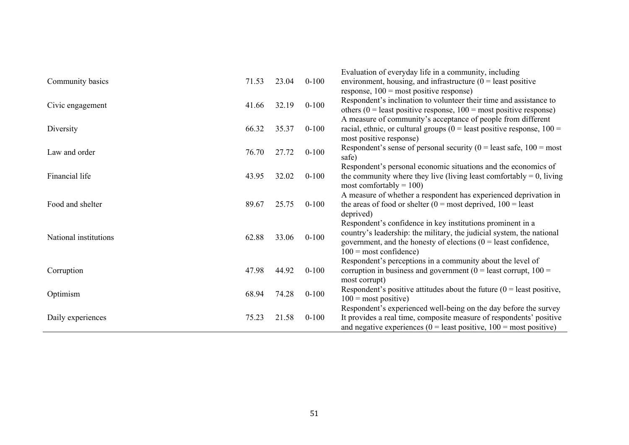|                       |       |       |           | Evaluation of everyday life in a community, including                       |
|-----------------------|-------|-------|-----------|-----------------------------------------------------------------------------|
| Community basics      | 71.53 | 23.04 | $0 - 100$ | environment, housing, and infrastructure $(0 =$ least positive              |
|                       |       |       |           | response, $100 = \text{most positive response}$ )                           |
| Civic engagement      | 41.66 | 32.19 | $0 - 100$ | Respondent's inclination to volunteer their time and assistance to          |
|                       |       |       |           | others ( $0 =$ least positive response, $100 =$ most positive response)     |
|                       |       |       |           | A measure of community's acceptance of people from different                |
| Diversity             | 66.32 | 35.37 | $0 - 100$ | racial, ethnic, or cultural groups ( $0 =$ least positive response, $100 =$ |
|                       |       |       |           | most positive response)                                                     |
| Law and order         | 76.70 | 27.72 | $0 - 100$ | Respondent's sense of personal security ( $0 =$ least safe, $100 =$ most    |
|                       |       |       |           | safe)                                                                       |
|                       |       |       |           | Respondent's personal economic situations and the economics of              |
| Financial life        | 43.95 | 32.02 | $0 - 100$ | the community where they live (living least comfortably $= 0$ , living      |
|                       |       |       |           | most comfortably $= 100$ )                                                  |
|                       |       |       |           | A measure of whether a respondent has experienced deprivation in            |
| Food and shelter      | 89.67 | 25.75 | $0 - 100$ | the areas of food or shelter ( $0 =$ most deprived, $100 =$ least           |
|                       |       |       |           | deprived)                                                                   |
|                       |       |       |           | Respondent's confidence in key institutions prominent in a                  |
| National institutions | 62.88 | 33.06 | $0 - 100$ | country's leadership: the military, the judicial system, the national       |
|                       |       |       |           | government, and the honesty of elections $(0 =$ least confidence,           |
|                       |       |       |           | $100$ = most confidence)                                                    |
|                       |       |       |           | Respondent's perceptions in a community about the level of                  |
| Corruption            | 47.98 | 44.92 | $0 - 100$ | corruption in business and government ( $0 =$ least corrupt, $100 =$        |
|                       |       |       |           | most corrupt)                                                               |
| Optimism              | 68.94 | 74.28 | $0 - 100$ | Respondent's positive attitudes about the future $(0 =$ least positive,     |
|                       |       |       |           | $100$ = most positive)                                                      |
|                       |       |       |           | Respondent's experienced well-being on the day before the survey            |
| Daily experiences     | 75.23 | 21.58 | $0 - 100$ | It provides a real time, composite measure of respondents' positive         |
|                       |       |       |           | and negative experiences ( $0 =$ least positive, $100 =$ most positive)     |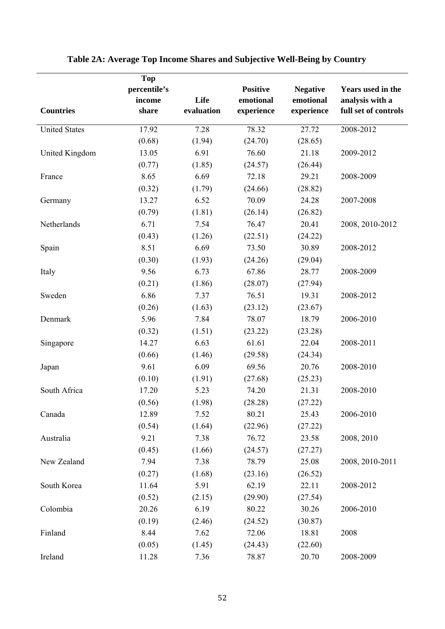|                      | <b>Top</b>   |            |                 |                 |                      |
|----------------------|--------------|------------|-----------------|-----------------|----------------------|
|                      | percentile's |            | <b>Positive</b> | <b>Negative</b> | Years used in the    |
|                      | income       | Life       | emotional       | emotional       | analysis with a      |
| <b>Countries</b>     | share        | evaluation | experience      | experience      | full set of controls |
| <b>United States</b> | 17.92        | 7.28       | 78.32           | 27.72           | 2008-2012            |
|                      | (0.68)       | (1.94)     | (24.70)         | (28.65)         |                      |
| United Kingdom       | 13.05        | 6.91       | 76.60           | 21.18           | 2009-2012            |
|                      | (0.77)       | (1.85)     | (24.57)         | (26.44)         |                      |
| France               | 8.65         | 6.69       | 72.18           | 29.21           | 2008-2009            |
|                      | (0.32)       | (1.79)     | (24.66)         | (28.82)         |                      |
| Germany              | 13.27        | 6.52       | 70.09           | 24.28           | 2007-2008            |
|                      | (0.79)       | (1.81)     | (26.14)         | (26.82)         |                      |
| Netherlands          | 6.71         | 7.54       | 76.47           | 20.41           | 2008, 2010-2012      |
|                      | (0.43)       | (1.26)     | (22.51)         | (24.22)         |                      |
| Spain                | 8.51         | 6.69       | 73.50           | 30.89           | 2008-2012            |
|                      | (0.30)       | (1.93)     | (24.26)         | (29.04)         |                      |
| Italy                | 9.56         | 6.73       | 67.86           | 28.77           | 2008-2009            |
|                      | (0.21)       | (1.86)     | (28.07)         | (27.94)         |                      |
| Sweden               | 6.86         | 7.37       | 76.51           | 19.31           | 2008-2012            |
|                      | (0.26)       | (1.63)     | (23.12)         | (23.67)         |                      |
| Denmark              | 5.96         | 7.84       | 78.07           | 18.79           | 2006-2010            |
|                      | (0.32)       | (1.51)     | (23.22)         | (23.28)         |                      |
| Singapore            | 14.27        | 6.63       | 61.61           | 22.04           | 2008-2011            |
|                      | (0.66)       | (1.46)     | (29.58)         | (24.34)         |                      |
| Japan                | 9.61         | 6.09       | 69.56           | 20.76           | 2008-2010            |
|                      | (0.10)       | (1.91)     | (27.68)         | (25.23)         |                      |
| South Africa         | 17.20        | 5.23       | 74.20           | 21.31           | 2008-2010            |
|                      | (0.56)       | (1.98)     | (28.28)         | (27.22)         |                      |
| Canada               | 12.89        | 7.52       | 80.21           | 25.43           | 2006-2010            |
|                      | (0.54)       | (1.64)     | (22.96)         | (27.22)         |                      |
| Australia            | 9.21         | 7.38       | 76.72           | 23.58           | 2008, 2010           |
|                      | (0.45)       | (1.66)     | (24.57)         | (27.27)         |                      |
| New Zealand          | 7.94         | 7.38       | 78.79           | 25.08           | 2008, 2010-2011      |
|                      | (0.27)       | (1.68)     | (23.16)         | (26.52)         |                      |
| South Korea          | 11.64        | 5.91       | 62.19           | 22.11           | 2008-2012            |
|                      | (0.52)       | (2.15)     | (29.90)         | (27.54)         |                      |
| Colombia             | 20.26        | 6.19       | 80.22           | 30.26           | 2006-2010            |
|                      | (0.19)       | (2.46)     | (24.52)         | (30.87)         |                      |
| Finland              | 8.44         | 7.62       | 72.06           | 18.81           | 2008                 |
|                      | (0.05)       | (1.45)     | (24.43)         | (22.60)         |                      |
| Ireland              | 11.28        | 7.36       | 78.87           | 20.70           | 2008-2009            |

# **Table 2A: Average Top Income Shares and Subjective Well-Being by Country**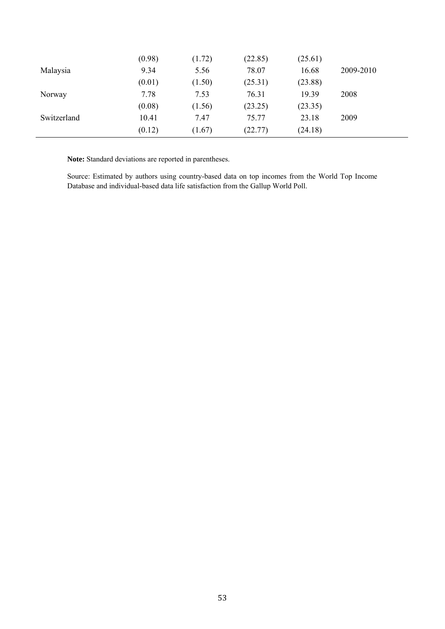|             | (0.98) | (1.72) | (22.85) | (25.61) |           |
|-------------|--------|--------|---------|---------|-----------|
| Malaysia    | 9.34   | 5.56   | 78.07   | 16.68   | 2009-2010 |
|             | (0.01) | (1.50) | (25.31) | (23.88) |           |
| Norway      | 7.78   | 7.53   | 76.31   | 19.39   | 2008      |
|             | (0.08) | (1.56) | (23.25) | (23.35) |           |
| Switzerland | 10.41  | 7.47   | 75.77   | 23.18   | 2009      |
|             | (0.12) | (1.67) | (22.77) | (24.18) |           |

**Note:** Standard deviations are reported in parentheses.

Source: Estimated by authors using country-based data on top incomes from the World Top Income Database and individual-based data life satisfaction from the Gallup World Poll.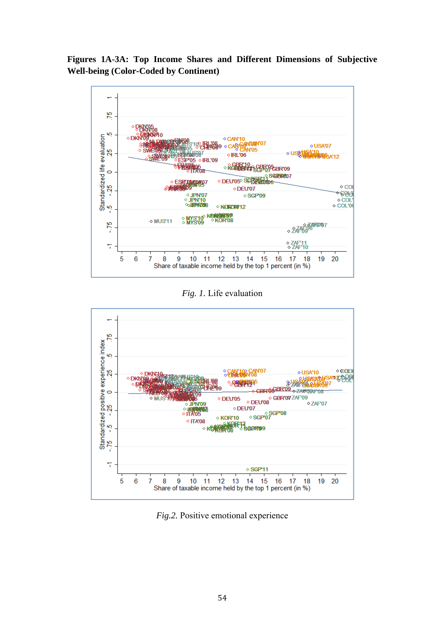**Figures 1A-3A: Top Income Shares and Different Dimensions of Subjective Well-being (Color-Coded by Continent)** 



*Fig. 1.* Life evaluation



*Fig.2.* Positive emotional experience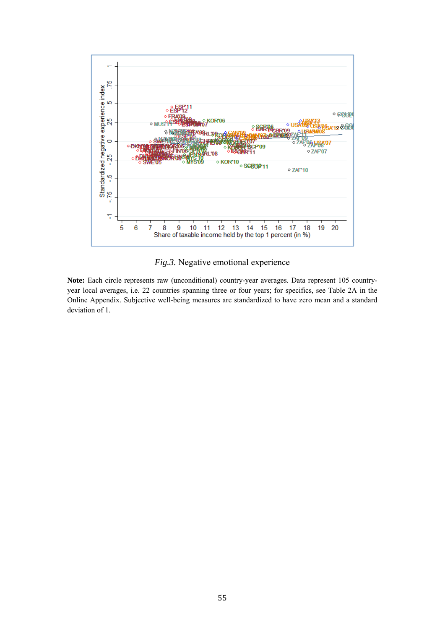

*Fig.3.* Negative emotional experience

Note: Each circle represents raw (unconditional) country-year averages. Data represent 105 countryyear local averages, i.e. 22 countries spanning three or four years; for specifics, see Table 2A in the Online Appendix. Subjective well-being measures are standardized to have zero mean and a standard deviation of 1.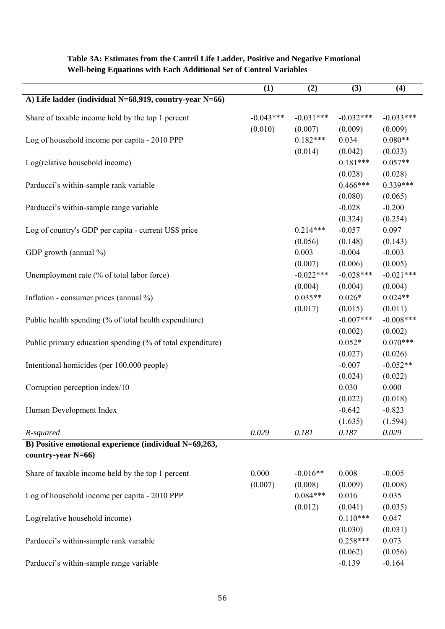|                                                            | (1)         | (2)         | (3)         | (4)          |
|------------------------------------------------------------|-------------|-------------|-------------|--------------|
| A) Life ladder (individual N=68,919, country-year N=66)    |             |             |             |              |
| Share of taxable income held by the top 1 percent          | $-0.043***$ | $-0.031***$ | $-0.032***$ | $-0.033***$  |
|                                                            | (0.010)     | (0.007)     | (0.009)     | (0.009)      |
| Log of household income per capita - 2010 PPP              |             | $0.182***$  | 0.034       | $0.080**$    |
|                                                            |             | (0.014)     | (0.042)     | (0.033)      |
| Log(relative household income)                             |             |             | $0.181***$  | $0.057**$    |
|                                                            |             |             | (0.028)     | (0.028)      |
| Parducci's within-sample rank variable                     |             |             | $0.466***$  | $0.339***$   |
|                                                            |             |             | (0.080)     | (0.065)      |
| Parducci's within-sample range variable                    |             |             | $-0.028$    | $-0.200$     |
|                                                            |             |             | (0.324)     | (0.254)      |
| Log of country's GDP per capita - current US\$ price       |             | $0.214***$  | $-0.057$    | 0.097        |
|                                                            |             | (0.056)     | (0.148)     | (0.143)      |
| GDP growth (annual %)                                      |             | 0.003       | $-0.004$    | $-0.003$     |
|                                                            |             | (0.007)     | (0.006)     | (0.005)      |
| Unemployment rate (% of total labor force)                 |             | $-0.022***$ | $-0.028***$ | $-0.021***$  |
|                                                            |             | (0.004)     | (0.004)     | (0.004)      |
| Inflation - consumer prices (annual %)                     |             | $0.035**$   | $0.026*$    | $0.024**$    |
|                                                            |             | (0.017)     | (0.015)     | (0.011)      |
| Public health spending (% of total health expenditure)     |             |             | $-0.007***$ | $-0.008$ *** |
|                                                            |             |             | (0.002)     | (0.002)      |
| Public primary education spending (% of total expenditure) |             |             | $0.052*$    | $0.070***$   |
|                                                            |             |             | (0.027)     | (0.026)      |
| Intentional homicides (per 100,000 people)                 |             |             | $-0.007$    | $-0.052**$   |
|                                                            |             |             | (0.024)     | (0.022)      |
| Corruption perception index/10                             |             |             | 0.030       | 0.000        |
|                                                            |             |             | (0.022)     | (0.018)      |
| Human Development Index                                    |             |             | $-0.642$    | $-0.823$     |
|                                                            |             |             | (1.635)     | (1.594)      |
| R-squared                                                  | 0.029       | 0.181       | 0.187       | 0.029        |
| B) Positive emotional experience (individual N=69,263,     |             |             |             |              |
| country-year $N=66$ )                                      |             |             |             |              |
| Share of taxable income held by the top 1 percent          | 0.000       | $-0.016**$  | 0.008       | $-0.005$     |
|                                                            | (0.007)     | (0.008)     | (0.009)     | (0.008)      |
| Log of household income per capita - 2010 PPP              |             | $0.084***$  | 0.016       | 0.035        |
|                                                            |             | (0.012)     | (0.041)     | (0.035)      |
| Log(relative household income)                             |             |             | $0.110***$  | 0.047        |
|                                                            |             |             | (0.030)     | (0.031)      |
| Parducci's within-sample rank variable                     |             |             | $0.258***$  | 0.073        |
|                                                            |             |             | (0.062)     | (0.056)      |
| Parducci's within-sample range variable                    |             |             | $-0.139$    | $-0.164$     |

#### **Table 3A: Estimates from the Cantril Life Ladder, Positive and Negative Emotional Well-being Equations with Each Additional Set of Control Variables**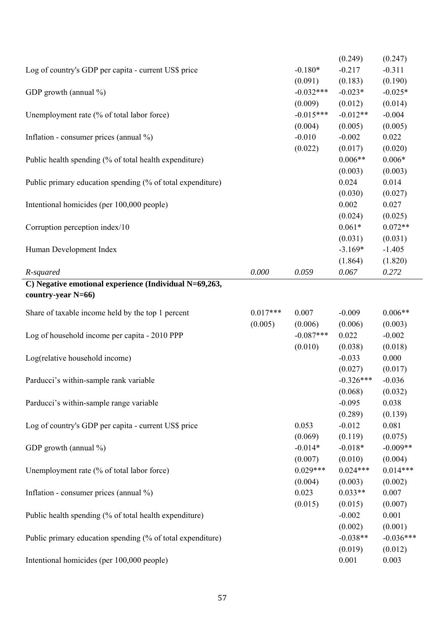|                                                            |            |                       | (0.249)                | (0.247)                |
|------------------------------------------------------------|------------|-----------------------|------------------------|------------------------|
| Log of country's GDP per capita - current US\$ price       |            | $-0.180*$             | $-0.217$               | $-0.311$               |
|                                                            |            | (0.091)               | (0.183)                | (0.190)                |
| GDP growth (annual %)                                      |            | $-0.032***$           | $-0.023*$              | $-0.025*$              |
|                                                            |            | (0.009)               | (0.012)                | (0.014)                |
| Unemployment rate (% of total labor force)                 |            | $-0.015***$           | $-0.012**$             | $-0.004$               |
|                                                            |            | (0.004)               | (0.005)                | (0.005)                |
| Inflation - consumer prices (annual %)                     |            | $-0.010$              | $-0.002$               | 0.022                  |
|                                                            |            | (0.022)               | (0.017)                | (0.020)                |
| Public health spending (% of total health expenditure)     |            |                       | $0.006**$              | $0.006*$               |
|                                                            |            |                       | (0.003)                | (0.003)                |
| Public primary education spending (% of total expenditure) |            |                       | 0.024                  | 0.014                  |
|                                                            |            |                       | (0.030)                | (0.027)                |
| Intentional homicides (per 100,000 people)                 |            |                       | 0.002                  | 0.027                  |
|                                                            |            |                       | (0.024)                | (0.025)                |
| Corruption perception index/10                             |            |                       | $0.061*$               | $0.072**$              |
|                                                            |            |                       | (0.031)                | (0.031)                |
| Human Development Index                                    |            |                       | $-3.169*$              | $-1.405$               |
|                                                            |            |                       | (1.864)                | (1.820)                |
| R-squared                                                  | 0.000      | 0.059                 | 0.067                  | 0.272                  |
| C) Negative emotional experience (Individual N=69,263,     |            |                       |                        |                        |
| country-year $N=66$ )                                      |            |                       |                        |                        |
|                                                            |            |                       |                        |                        |
| Share of taxable income held by the top 1 percent          | $0.017***$ | 0.007                 | $-0.009$               | $0.006**$              |
|                                                            | (0.005)    | (0.006)               | (0.006)                | (0.003)                |
| Log of household income per capita - 2010 PPP              |            | $-0.087***$           | 0.022                  | $-0.002$               |
|                                                            |            | (0.010)               | (0.038)                | (0.018)                |
| Log(relative household income)                             |            |                       | $-0.033$               | 0.000                  |
|                                                            |            |                       | (0.027)<br>$-0.326***$ | (0.017)                |
| Parducci's within-sample rank variable                     |            |                       |                        | $-0.036$               |
|                                                            |            |                       | (0.068)                | (0.032)                |
| Parducci's within-sample range variable                    |            |                       | $-0.095$               | 0.038                  |
|                                                            |            |                       | (0.289)                | (0.139)                |
| Log of country's GDP per capita - current US\$ price       |            | 0.053                 | $-0.012$               | 0.081                  |
|                                                            |            | (0.069)<br>$-0.014*$  | (0.119)                | (0.075)<br>$-0.009**$  |
| GDP growth (annual %)                                      |            |                       | $-0.018*$              |                        |
|                                                            |            | (0.007)<br>$0.029***$ | (0.010)<br>$0.024***$  | (0.004)<br>$0.014***$  |
| Unemployment rate (% of total labor force)                 |            |                       |                        |                        |
|                                                            |            | (0.004)<br>0.023      | (0.003)<br>$0.033**$   | (0.002)<br>0.007       |
| Inflation - consumer prices (annual %)                     |            | (0.015)               |                        |                        |
| Public health spending (% of total health expenditure)     |            |                       | (0.015)<br>$-0.002$    | (0.007)<br>0.001       |
|                                                            |            |                       |                        |                        |
| Public primary education spending (% of total expenditure) |            |                       | (0.002)<br>$-0.038**$  | (0.001)<br>$-0.036***$ |
|                                                            |            |                       |                        |                        |
|                                                            |            |                       | (0.019)<br>0.001       | (0.012)<br>0.003       |
| Intentional homicides (per 100,000 people)                 |            |                       |                        |                        |